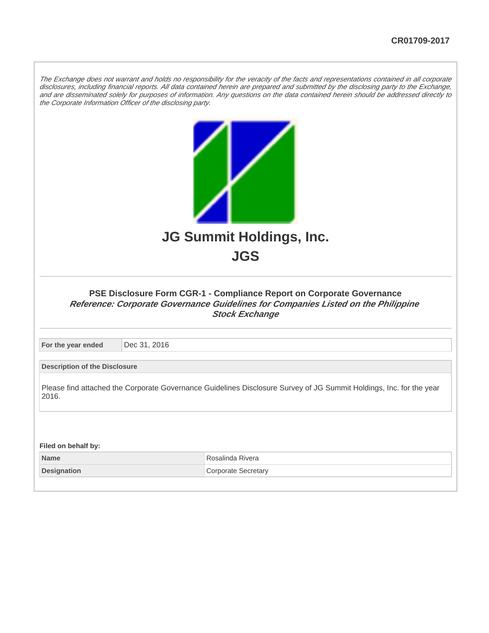The Exchange does not warrant and holds no responsibility for the veracity of the facts and representations contained in all corporate disclosures, including financial reports. All data contained herein are prepared and submitted by the disclosing party to the Exchange, and are disseminated solely for purposes of information. Any questions on the data contained herein should be addressed directly to the Corporate Information Officer of the disclosing party.



| Name         | Rivera    |
|--------------|-----------|
| ⊥Designation | Secretarv |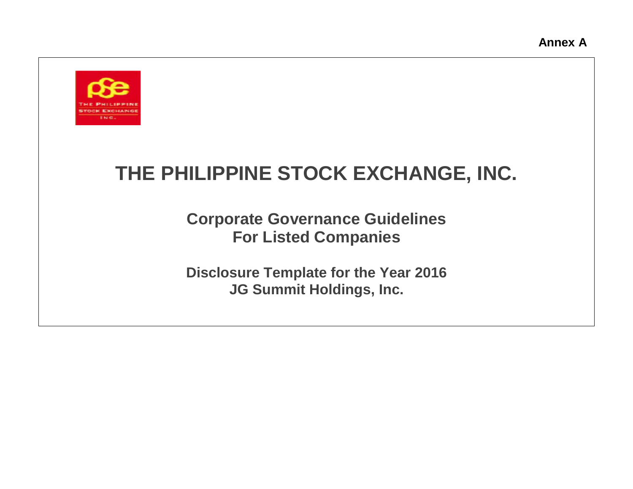

# **THE PHILIPPINE STOCK EXCHANGE, INC.**

**Corporate Governance Guidelines For Listed Companies**

**Disclosure Template for the Year 2016 JG Summit Holdings, Inc.**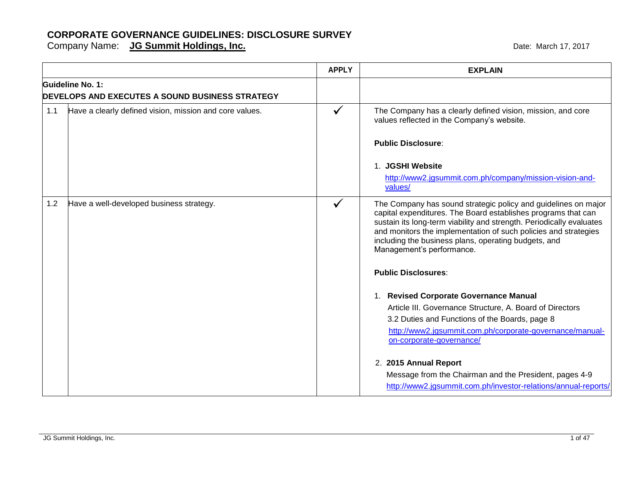|     |                                                                            | <b>APPLY</b> | <b>EXPLAIN</b>                                                                                                                                                                                                                                                                                                                                                                                    |
|-----|----------------------------------------------------------------------------|--------------|---------------------------------------------------------------------------------------------------------------------------------------------------------------------------------------------------------------------------------------------------------------------------------------------------------------------------------------------------------------------------------------------------|
|     | Guideline No. 1:<br><b>DEVELOPS AND EXECUTES A SOUND BUSINESS STRATEGY</b> |              |                                                                                                                                                                                                                                                                                                                                                                                                   |
| 1.1 | Have a clearly defined vision, mission and core values.                    | $\checkmark$ | The Company has a clearly defined vision, mission, and core<br>values reflected in the Company's website.                                                                                                                                                                                                                                                                                         |
|     |                                                                            |              | <b>Public Disclosure:</b>                                                                                                                                                                                                                                                                                                                                                                         |
|     |                                                                            |              | 1. JGSHI Website<br>http://www2.jgsummit.com.ph/company/mission-vision-and-<br>values/                                                                                                                                                                                                                                                                                                            |
| 1.2 | Have a well-developed business strategy.                                   |              | The Company has sound strategic policy and guidelines on major<br>capital expenditures. The Board establishes programs that can<br>sustain its long-term viability and strength. Periodically evaluates<br>and monitors the implementation of such policies and strategies<br>including the business plans, operating budgets, and<br>Management's performance.                                   |
|     |                                                                            |              | <b>Public Disclosures:</b>                                                                                                                                                                                                                                                                                                                                                                        |
|     |                                                                            |              | 1. Revised Corporate Governance Manual<br>Article III. Governance Structure, A. Board of Directors<br>3.2 Duties and Functions of the Boards, page 8<br>http://www2.jgsummit.com.ph/corporate-governance/manual-<br>on-corporate-governance/<br>2. 2015 Annual Report<br>Message from the Chairman and the President, pages 4-9<br>http://www2.jgsummit.com.ph/investor-relations/annual-reports/ |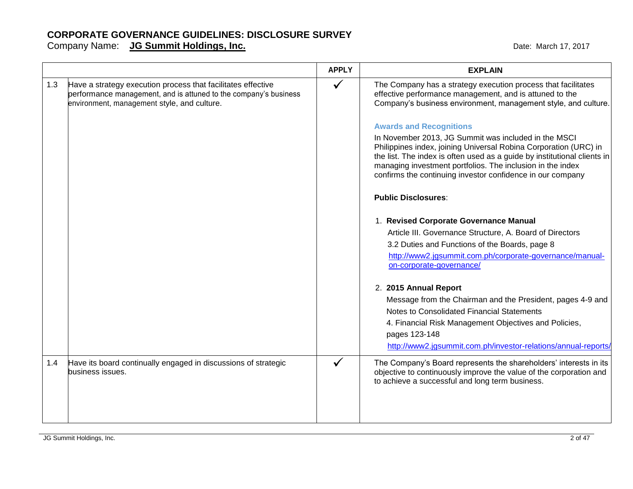|     |                                                                                                                                                                                 | <b>APPLY</b> | <b>EXPLAIN</b>                                                                                                                                                                                                                                                                                                                   |
|-----|---------------------------------------------------------------------------------------------------------------------------------------------------------------------------------|--------------|----------------------------------------------------------------------------------------------------------------------------------------------------------------------------------------------------------------------------------------------------------------------------------------------------------------------------------|
| 1.3 | Have a strategy execution process that facilitates effective<br>performance management, and is attuned to the company's business<br>environment, management style, and culture. | $\checkmark$ | The Company has a strategy execution process that facilitates<br>effective performance management, and is attuned to the<br>Company's business environment, management style, and culture.                                                                                                                                       |
|     |                                                                                                                                                                                 |              | <b>Awards and Recognitions</b>                                                                                                                                                                                                                                                                                                   |
|     |                                                                                                                                                                                 |              | In November 2013, JG Summit was included in the MSCI<br>Philippines index, joining Universal Robina Corporation (URC) in<br>the list. The index is often used as a guide by institutional clients in<br>managing investment portfolios. The inclusion in the index<br>confirms the continuing investor confidence in our company |
|     |                                                                                                                                                                                 |              | <b>Public Disclosures:</b>                                                                                                                                                                                                                                                                                                       |
|     |                                                                                                                                                                                 |              | 1. Revised Corporate Governance Manual                                                                                                                                                                                                                                                                                           |
|     |                                                                                                                                                                                 |              | Article III. Governance Structure, A. Board of Directors                                                                                                                                                                                                                                                                         |
|     |                                                                                                                                                                                 |              | 3.2 Duties and Functions of the Boards, page 8                                                                                                                                                                                                                                                                                   |
|     |                                                                                                                                                                                 |              | http://www2.jgsummit.com.ph/corporate-governance/manual-<br>on-corporate-governance/                                                                                                                                                                                                                                             |
|     |                                                                                                                                                                                 |              | 2. 2015 Annual Report                                                                                                                                                                                                                                                                                                            |
|     |                                                                                                                                                                                 |              | Message from the Chairman and the President, pages 4-9 and                                                                                                                                                                                                                                                                       |
|     |                                                                                                                                                                                 |              | Notes to Consolidated Financial Statements                                                                                                                                                                                                                                                                                       |
|     |                                                                                                                                                                                 |              | 4. Financial Risk Management Objectives and Policies,<br>pages 123-148                                                                                                                                                                                                                                                           |
|     |                                                                                                                                                                                 |              | http://www2.jgsummit.com.ph/investor-relations/annual-reports/                                                                                                                                                                                                                                                                   |
| 1.4 | Have its board continually engaged in discussions of strategic<br>business issues.                                                                                              |              | The Company's Board represents the shareholders' interests in its<br>objective to continuously improve the value of the corporation and<br>to achieve a successful and long term business.                                                                                                                                       |
|     |                                                                                                                                                                                 |              |                                                                                                                                                                                                                                                                                                                                  |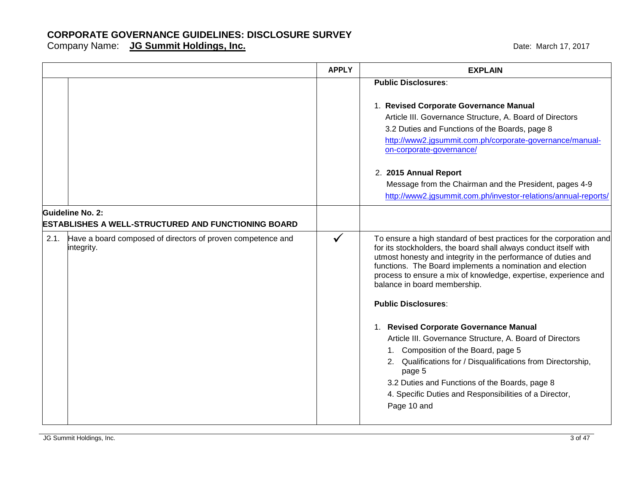|                         |                                                                                | <b>APPLY</b> | <b>EXPLAIN</b>                                                                                                                                                                                                                                                                                                                                                                                                                                                                                                                                                                                                                                                                                                                                           |
|-------------------------|--------------------------------------------------------------------------------|--------------|----------------------------------------------------------------------------------------------------------------------------------------------------------------------------------------------------------------------------------------------------------------------------------------------------------------------------------------------------------------------------------------------------------------------------------------------------------------------------------------------------------------------------------------------------------------------------------------------------------------------------------------------------------------------------------------------------------------------------------------------------------|
|                         |                                                                                |              | <b>Public Disclosures:</b><br>1. Revised Corporate Governance Manual<br>Article III. Governance Structure, A. Board of Directors<br>3.2 Duties and Functions of the Boards, page 8<br>http://www2.jgsummit.com.ph/corporate-governance/manual-<br>on-corporate-governance/<br>2. 2015 Annual Report<br>Message from the Chairman and the President, pages 4-9<br>http://www2.jgsummit.com.ph/investor-relations/annual-reports/                                                                                                                                                                                                                                                                                                                          |
| <b>Guideline No. 2:</b> | ESTABLISHES A WELL-STRUCTURED AND FUNCTIONING BOARD                            |              |                                                                                                                                                                                                                                                                                                                                                                                                                                                                                                                                                                                                                                                                                                                                                          |
|                         | 2.1. Have a board composed of directors of proven competence and<br>integrity. | $\checkmark$ | To ensure a high standard of best practices for the corporation and<br>for its stockholders, the board shall always conduct itself with<br>utmost honesty and integrity in the performance of duties and<br>functions. The Board implements a nomination and election<br>process to ensure a mix of knowledge, expertise, experience and<br>balance in board membership.<br><b>Public Disclosures:</b><br>1. Revised Corporate Governance Manual<br>Article III. Governance Structure, A. Board of Directors<br>1. Composition of the Board, page 5<br>2. Qualifications for / Disqualifications from Directorship,<br>page 5<br>3.2 Duties and Functions of the Boards, page 8<br>4. Specific Duties and Responsibilities of a Director,<br>Page 10 and |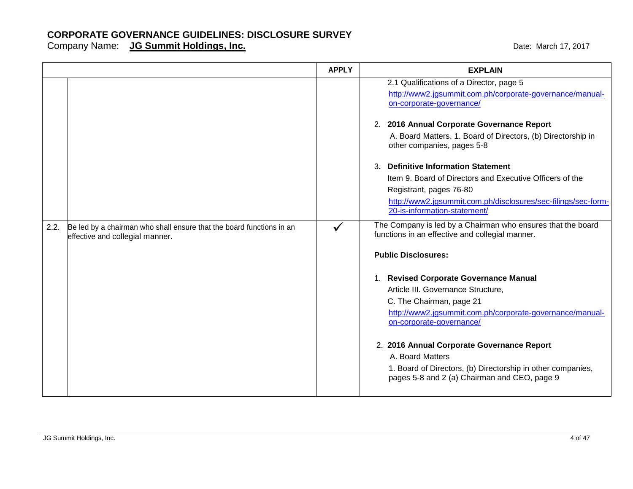|      |                                                                                                         | <b>APPLY</b> | <b>EXPLAIN</b>                                                                                                                                                                                                                                                                                                                                                                        |
|------|---------------------------------------------------------------------------------------------------------|--------------|---------------------------------------------------------------------------------------------------------------------------------------------------------------------------------------------------------------------------------------------------------------------------------------------------------------------------------------------------------------------------------------|
|      |                                                                                                         |              | 2.1 Qualifications of a Director, page 5<br>http://www2.jgsummit.com.ph/corporate-governance/manual-<br>on-corporate-governance/                                                                                                                                                                                                                                                      |
|      |                                                                                                         |              | 2. 2016 Annual Corporate Governance Report<br>A. Board Matters, 1. Board of Directors, (b) Directorship in<br>other companies, pages 5-8                                                                                                                                                                                                                                              |
| 2.2. | Be led by a chairman who shall ensure that the board functions in an<br>effective and collegial manner. | $\checkmark$ | <b>Definitive Information Statement</b><br>3.<br>Item 9. Board of Directors and Executive Officers of the<br>Registrant, pages 76-80<br>http://www2.jgsummit.com.ph/disclosures/sec-filings/sec-form-<br>20-is-information-statement/<br>The Company is led by a Chairman who ensures that the board<br>functions in an effective and collegial manner.<br><b>Public Disclosures:</b> |
|      |                                                                                                         |              | 1. Revised Corporate Governance Manual<br>Article III. Governance Structure,<br>C. The Chairman, page 21<br>http://www2.jgsummit.com.ph/corporate-governance/manual-<br>on-corporate-governance/<br>2. 2016 Annual Corporate Governance Report<br>A. Board Matters<br>1. Board of Directors, (b) Directorship in other companies,<br>pages 5-8 and 2 (a) Chairman and CEO, page 9     |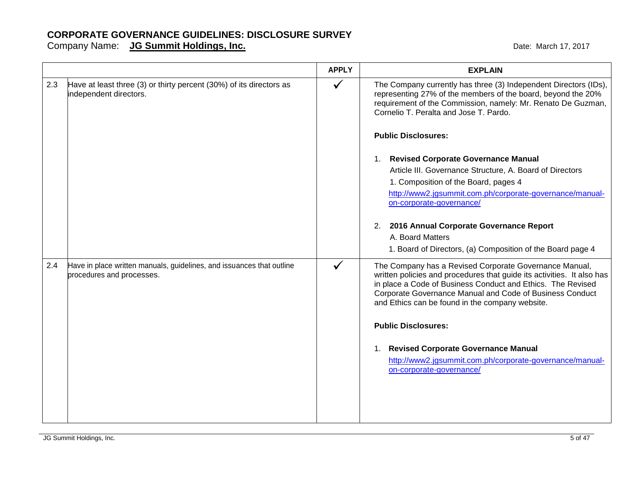|     |                                                                                               | <b>APPLY</b> | <b>EXPLAIN</b>                                                                                                                                                                                                                                                                                                                                                                                                                                  |
|-----|-----------------------------------------------------------------------------------------------|--------------|-------------------------------------------------------------------------------------------------------------------------------------------------------------------------------------------------------------------------------------------------------------------------------------------------------------------------------------------------------------------------------------------------------------------------------------------------|
| 2.3 | Have at least three (3) or thirty percent (30%) of its directors as<br>independent directors. | $\checkmark$ | The Company currently has three (3) Independent Directors (IDs),<br>representing 27% of the members of the board, beyond the 20%<br>requirement of the Commission, namely: Mr. Renato De Guzman,<br>Cornelio T. Peralta and Jose T. Pardo.                                                                                                                                                                                                      |
|     |                                                                                               |              | <b>Public Disclosures:</b>                                                                                                                                                                                                                                                                                                                                                                                                                      |
| 2.4 | Have in place written manuals, guidelines, and issuances that outline                         | $\checkmark$ | <b>Revised Corporate Governance Manual</b><br>$1_{\cdot}$<br>Article III. Governance Structure, A. Board of Directors<br>1. Composition of the Board, pages 4<br>http://www2.jgsummit.com.ph/corporate-governance/manual-<br>on-corporate-governance/<br>2. 2016 Annual Corporate Governance Report<br>A. Board Matters<br>1. Board of Directors, (a) Composition of the Board page 4<br>The Company has a Revised Corporate Governance Manual, |
|     | procedures and processes.                                                                     |              | written policies and procedures that guide its activities. It also has<br>in place a Code of Business Conduct and Ethics. The Revised<br>Corporate Governance Manual and Code of Business Conduct<br>and Ethics can be found in the company website.<br><b>Public Disclosures:</b><br><b>Revised Corporate Governance Manual</b><br>1.<br>http://www2.jgsummit.com.ph/corporate-governance/manual-<br>on-corporate-governance/                  |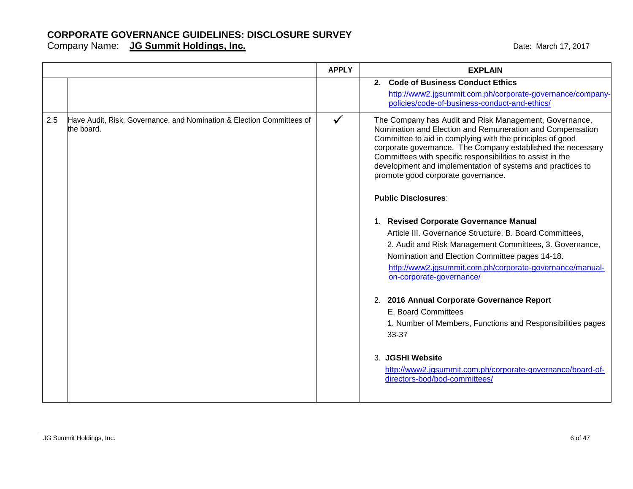|     |                                                                                     | <b>APPLY</b> | <b>EXPLAIN</b>                                                                                                                                                                                                                                                                                                                                                                                                                                                                                                                                                                                                                                                                                                                                                                                                                                                                                        |
|-----|-------------------------------------------------------------------------------------|--------------|-------------------------------------------------------------------------------------------------------------------------------------------------------------------------------------------------------------------------------------------------------------------------------------------------------------------------------------------------------------------------------------------------------------------------------------------------------------------------------------------------------------------------------------------------------------------------------------------------------------------------------------------------------------------------------------------------------------------------------------------------------------------------------------------------------------------------------------------------------------------------------------------------------|
|     |                                                                                     |              | 2. Code of Business Conduct Ethics<br>http://www2.jgsummit.com.ph/corporate-governance/company-<br>policies/code-of-business-conduct-and-ethics/                                                                                                                                                                                                                                                                                                                                                                                                                                                                                                                                                                                                                                                                                                                                                      |
| 2.5 | Have Audit, Risk, Governance, and Nomination & Election Committees of<br>the board. | $\checkmark$ | The Company has Audit and Risk Management, Governance,<br>Nomination and Election and Remuneration and Compensation<br>Committee to aid in complying with the principles of good<br>corporate governance. The Company established the necessary<br>Committees with specific responsibilities to assist in the<br>development and implementation of systems and practices to<br>promote good corporate governance.<br><b>Public Disclosures:</b><br>1. Revised Corporate Governance Manual<br>Article III. Governance Structure, B. Board Committees,<br>2. Audit and Risk Management Committees, 3. Governance,<br>Nomination and Election Committee pages 14-18.<br>http://www2.jgsummit.com.ph/corporate-governance/manual-<br>on-corporate-governance/<br>2. 2016 Annual Corporate Governance Report<br>E. Board Committees<br>1. Number of Members, Functions and Responsibilities pages<br>33-37 |
|     |                                                                                     |              | 3. JGSHI Website<br>http://www2.jgsummit.com.ph/corporate-governance/board-of-<br>directors-bod/bod-committees/                                                                                                                                                                                                                                                                                                                                                                                                                                                                                                                                                                                                                                                                                                                                                                                       |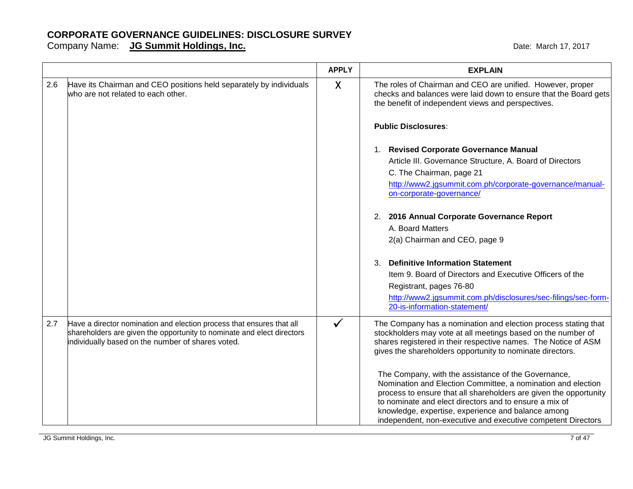|     |                                                                                                                                                                                                      | <b>APPLY</b> | <b>EXPLAIN</b>                                                                                                                                                                                                                                                                                                                                                           |
|-----|------------------------------------------------------------------------------------------------------------------------------------------------------------------------------------------------------|--------------|--------------------------------------------------------------------------------------------------------------------------------------------------------------------------------------------------------------------------------------------------------------------------------------------------------------------------------------------------------------------------|
| 2.6 | Have its Chairman and CEO positions held separately by individuals<br>who are not related to each other.                                                                                             | $\sf X$      | The roles of Chairman and CEO are unified. However, proper<br>checks and balances were laid down to ensure that the Board gets<br>the benefit of independent views and perspectives.                                                                                                                                                                                     |
|     |                                                                                                                                                                                                      |              | <b>Public Disclosures:</b>                                                                                                                                                                                                                                                                                                                                               |
|     |                                                                                                                                                                                                      |              | 1. Revised Corporate Governance Manual<br>Article III. Governance Structure, A. Board of Directors<br>C. The Chairman, page 21<br>http://www2.jgsummit.com.ph/corporate-governance/manual-<br>on-corporate-governance/                                                                                                                                                   |
|     |                                                                                                                                                                                                      |              | 2. 2016 Annual Corporate Governance Report<br>A. Board Matters<br>2(a) Chairman and CEO, page 9                                                                                                                                                                                                                                                                          |
|     |                                                                                                                                                                                                      |              | <b>Definitive Information Statement</b><br>$\mathcal{R}$<br>Item 9. Board of Directors and Executive Officers of the<br>Registrant, pages 76-80<br>http://www2.jgsummit.com.ph/disclosures/sec-filings/sec-form-<br>20-is-information-statement/                                                                                                                         |
| 2.7 | Have a director nomination and election process that ensures that all<br>shareholders are given the opportunity to nominate and elect directors<br>individually based on the number of shares voted. | $\checkmark$ | The Company has a nomination and election process stating that<br>stockholders may vote at all meetings based on the number of<br>shares registered in their respective names. The Notice of ASM<br>gives the shareholders opportunity to nominate directors.                                                                                                            |
|     |                                                                                                                                                                                                      |              | The Company, with the assistance of the Governance,<br>Nomination and Election Committee, a nomination and election<br>process to ensure that all shareholders are given the opportunity<br>to nominate and elect directors and to ensure a mix of<br>knowledge, expertise, experience and balance among<br>independent, non-executive and executive competent Directors |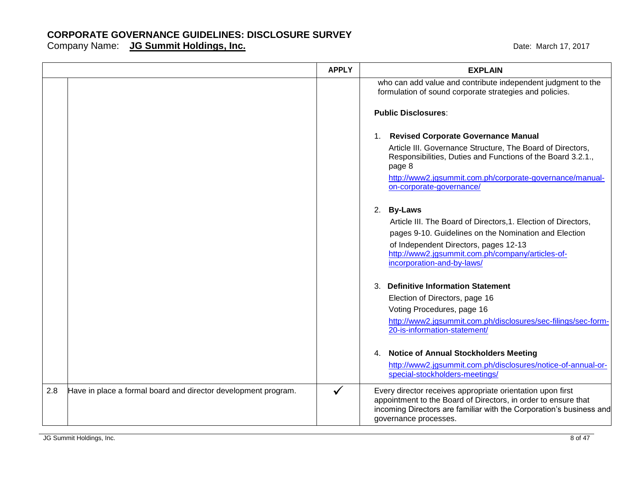|     |                                                                | <b>APPLY</b> | <b>EXPLAIN</b>                                                                                                                                                                                                               |
|-----|----------------------------------------------------------------|--------------|------------------------------------------------------------------------------------------------------------------------------------------------------------------------------------------------------------------------------|
|     |                                                                |              | who can add value and contribute independent judgment to the<br>formulation of sound corporate strategies and policies.                                                                                                      |
|     |                                                                |              | <b>Public Disclosures:</b>                                                                                                                                                                                                   |
|     |                                                                |              | <b>Revised Corporate Governance Manual</b><br>1.                                                                                                                                                                             |
|     |                                                                |              | Article III. Governance Structure, The Board of Directors,<br>Responsibilities, Duties and Functions of the Board 3.2.1.,<br>page 8                                                                                          |
|     |                                                                |              | http://www2.jgsummit.com.ph/corporate-governance/manual-<br>on-corporate-governance/                                                                                                                                         |
|     |                                                                |              | 2. By-Laws                                                                                                                                                                                                                   |
|     |                                                                |              | Article III. The Board of Directors, 1. Election of Directors,<br>pages 9-10. Guidelines on the Nomination and Election                                                                                                      |
|     |                                                                |              | of Independent Directors, pages 12-13<br>http://www2.jgsummit.com.ph/company/articles-of-<br>incorporation-and-by-laws/                                                                                                      |
|     |                                                                |              | 3. Definitive Information Statement                                                                                                                                                                                          |
|     |                                                                |              | Election of Directors, page 16                                                                                                                                                                                               |
|     |                                                                |              | Voting Procedures, page 16<br>http://www2.jgsummit.com.ph/disclosures/sec-filings/sec-form-                                                                                                                                  |
|     |                                                                |              | 20-is-information-statement/                                                                                                                                                                                                 |
|     |                                                                |              | 4. Notice of Annual Stockholders Meeting                                                                                                                                                                                     |
|     |                                                                |              | http://www2.jgsummit.com.ph/disclosures/notice-of-annual-or-<br>special-stockholders-meetings/                                                                                                                               |
| 2.8 | Have in place a formal board and director development program. | ✔            | Every director receives appropriate orientation upon first<br>appointment to the Board of Directors, in order to ensure that<br>incoming Directors are familiar with the Corporation's business and<br>governance processes. |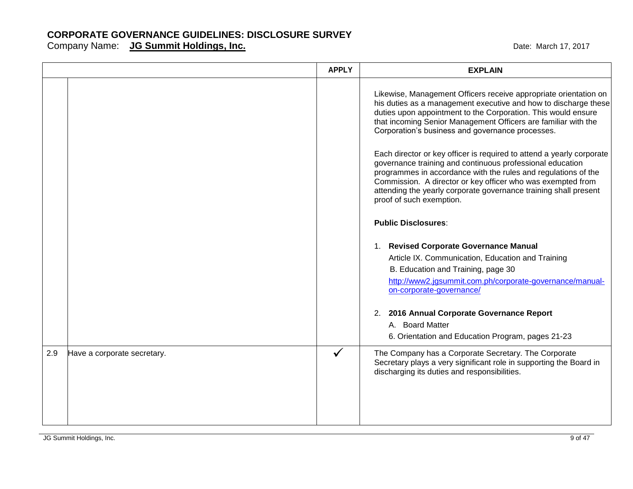|     |                             | <b>APPLY</b> | <b>EXPLAIN</b>                                                                                                                                                                                                                                                                                                                                                      |
|-----|-----------------------------|--------------|---------------------------------------------------------------------------------------------------------------------------------------------------------------------------------------------------------------------------------------------------------------------------------------------------------------------------------------------------------------------|
|     |                             |              | Likewise, Management Officers receive appropriate orientation on<br>his duties as a management executive and how to discharge these<br>duties upon appointment to the Corporation. This would ensure<br>that incoming Senior Management Officers are familiar with the<br>Corporation's business and governance processes.                                          |
|     |                             |              | Each director or key officer is required to attend a yearly corporate<br>governance training and continuous professional education<br>programmes in accordance with the rules and regulations of the<br>Commission. A director or key officer who was exempted from<br>attending the yearly corporate governance training shall present<br>proof of such exemption. |
|     |                             |              | <b>Public Disclosures:</b>                                                                                                                                                                                                                                                                                                                                          |
|     |                             |              | 1. Revised Corporate Governance Manual<br>Article IX. Communication, Education and Training<br>B. Education and Training, page 30<br>http://www2.jgsummit.com.ph/corporate-governance/manual-<br>on-corporate-governance/                                                                                                                                           |
|     |                             |              | 2. 2016 Annual Corporate Governance Report<br>A. Board Matter<br>6. Orientation and Education Program, pages 21-23                                                                                                                                                                                                                                                  |
| 2.9 | Have a corporate secretary. | $\checkmark$ | The Company has a Corporate Secretary. The Corporate<br>Secretary plays a very significant role in supporting the Board in<br>discharging its duties and responsibilities.                                                                                                                                                                                          |
|     |                             |              |                                                                                                                                                                                                                                                                                                                                                                     |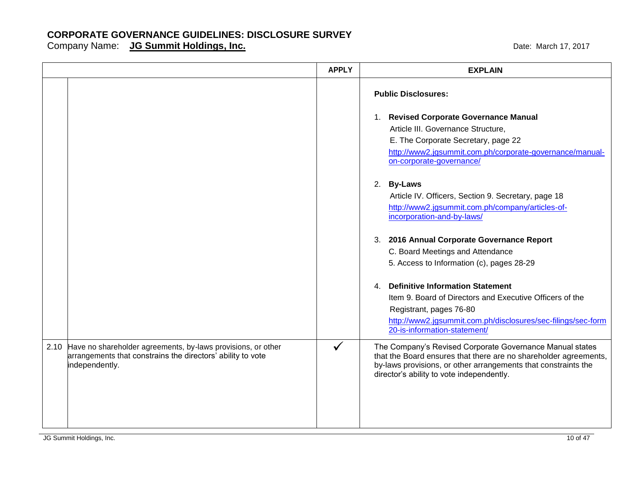|                                                                                                                                                    | <b>APPLY</b> | <b>EXPLAIN</b>                                                                                                                                                                                                                                                                     |
|----------------------------------------------------------------------------------------------------------------------------------------------------|--------------|------------------------------------------------------------------------------------------------------------------------------------------------------------------------------------------------------------------------------------------------------------------------------------|
|                                                                                                                                                    |              | <b>Public Disclosures:</b><br>1. Revised Corporate Governance Manual<br>Article III. Governance Structure,<br>E. The Corporate Secretary, page 22<br>http://www2.jgsummit.com.ph/corporate-governance/manual-<br>on-corporate-governance/                                          |
|                                                                                                                                                    |              | 2. By-Laws<br>Article IV. Officers, Section 9. Secretary, page 18<br>http://www2.jgsummit.com.ph/company/articles-of-<br>incorporation-and-by-laws/<br>3. 2016 Annual Corporate Governance Report<br>C. Board Meetings and Attendance<br>5. Access to Information (c), pages 28-29 |
|                                                                                                                                                    |              | <b>Definitive Information Statement</b><br>4<br>Item 9. Board of Directors and Executive Officers of the<br>Registrant, pages 76-80<br>http://www2.jgsummit.com.ph/disclosures/sec-filings/sec-form<br>20-is-information-statement/                                                |
| 2.10 Have no shareholder agreements, by-laws provisions, or other<br>arrangements that constrains the directors' ability to vote<br>independently. | $\checkmark$ | The Company's Revised Corporate Governance Manual states<br>that the Board ensures that there are no shareholder agreements,<br>by-laws provisions, or other arrangements that constraints the<br>director's ability to vote independently.                                        |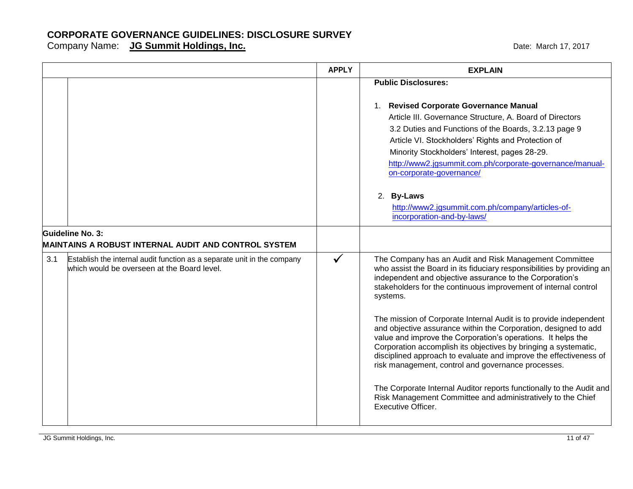|     |                                                                                                                        | <b>APPLY</b> | <b>EXPLAIN</b>                                                                                                                                                                                                                                                                                                                                                                                                                                                                                                                                                                                                                                                                                                                                                                                                           |
|-----|------------------------------------------------------------------------------------------------------------------------|--------------|--------------------------------------------------------------------------------------------------------------------------------------------------------------------------------------------------------------------------------------------------------------------------------------------------------------------------------------------------------------------------------------------------------------------------------------------------------------------------------------------------------------------------------------------------------------------------------------------------------------------------------------------------------------------------------------------------------------------------------------------------------------------------------------------------------------------------|
|     |                                                                                                                        |              | <b>Public Disclosures:</b>                                                                                                                                                                                                                                                                                                                                                                                                                                                                                                                                                                                                                                                                                                                                                                                               |
|     |                                                                                                                        |              | 1. Revised Corporate Governance Manual<br>Article III. Governance Structure, A. Board of Directors<br>3.2 Duties and Functions of the Boards, 3.2.13 page 9<br>Article VI. Stockholders' Rights and Protection of<br>Minority Stockholders' Interest, pages 28-29.<br>http://www2.jgsummit.com.ph/corporate-governance/manual-<br>on-corporate-governance/<br>2. By-Laws<br>http://www2.jgsummit.com.ph/company/articles-of-                                                                                                                                                                                                                                                                                                                                                                                             |
|     |                                                                                                                        |              | incorporation-and-by-laws/                                                                                                                                                                                                                                                                                                                                                                                                                                                                                                                                                                                                                                                                                                                                                                                               |
|     | Guideline No. 3:<br>MAINTAINS A ROBUST INTERNAL AUDIT AND CONTROL SYSTEM                                               |              |                                                                                                                                                                                                                                                                                                                                                                                                                                                                                                                                                                                                                                                                                                                                                                                                                          |
| 3.1 | Establish the internal audit function as a separate unit in the company<br>which would be overseen at the Board level. | $\checkmark$ | The Company has an Audit and Risk Management Committee<br>who assist the Board in its fiduciary responsibilities by providing an<br>independent and objective assurance to the Corporation's<br>stakeholders for the continuous improvement of internal control<br>systems.<br>The mission of Corporate Internal Audit is to provide independent<br>and objective assurance within the Corporation, designed to add<br>value and improve the Corporation's operations. It helps the<br>Corporation accomplish its objectives by bringing a systematic,<br>disciplined approach to evaluate and improve the effectiveness of<br>risk management, control and governance processes.<br>The Corporate Internal Auditor reports functionally to the Audit and<br>Risk Management Committee and administratively to the Chief |
|     |                                                                                                                        |              | <b>Executive Officer.</b>                                                                                                                                                                                                                                                                                                                                                                                                                                                                                                                                                                                                                                                                                                                                                                                                |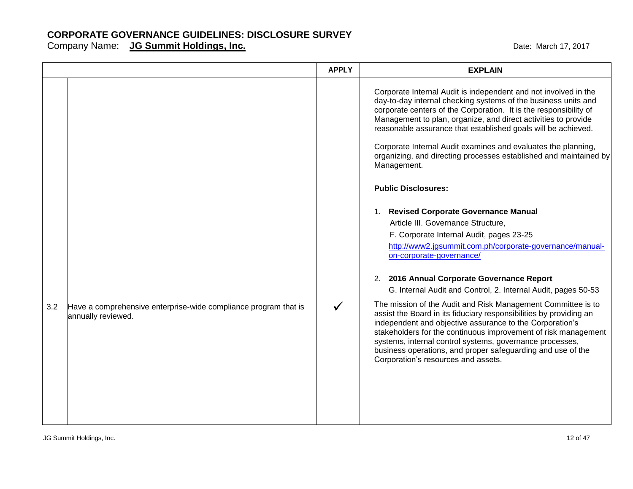|     |                                                                                       | <b>APPLY</b> | <b>EXPLAIN</b>                                                                                                                                                                                                                                                                                                                                                                                                                                                                                                                                                                                                                                                                                                                                                                                                                                                  |
|-----|---------------------------------------------------------------------------------------|--------------|-----------------------------------------------------------------------------------------------------------------------------------------------------------------------------------------------------------------------------------------------------------------------------------------------------------------------------------------------------------------------------------------------------------------------------------------------------------------------------------------------------------------------------------------------------------------------------------------------------------------------------------------------------------------------------------------------------------------------------------------------------------------------------------------------------------------------------------------------------------------|
|     |                                                                                       |              | Corporate Internal Audit is independent and not involved in the<br>day-to-day internal checking systems of the business units and<br>corporate centers of the Corporation. It is the responsibility of<br>Management to plan, organize, and direct activities to provide<br>reasonable assurance that established goals will be achieved.<br>Corporate Internal Audit examines and evaluates the planning,<br>organizing, and directing processes established and maintained by<br>Management.<br><b>Public Disclosures:</b><br>1. Revised Corporate Governance Manual<br>Article III. Governance Structure,<br>F. Corporate Internal Audit, pages 23-25<br>http://www2.jgsummit.com.ph/corporate-governance/manual-<br>on-corporate-governance/<br>2. 2016 Annual Corporate Governance Report<br>G. Internal Audit and Control, 2. Internal Audit, pages 50-53 |
| 3.2 | Have a comprehensive enterprise-wide compliance program that is<br>annually reviewed. | ✓            | The mission of the Audit and Risk Management Committee is to<br>assist the Board in its fiduciary responsibilities by providing an<br>independent and objective assurance to the Corporation's<br>stakeholders for the continuous improvement of risk management<br>systems, internal control systems, governance processes,<br>business operations, and proper safeguarding and use of the<br>Corporation's resources and assets.                                                                                                                                                                                                                                                                                                                                                                                                                              |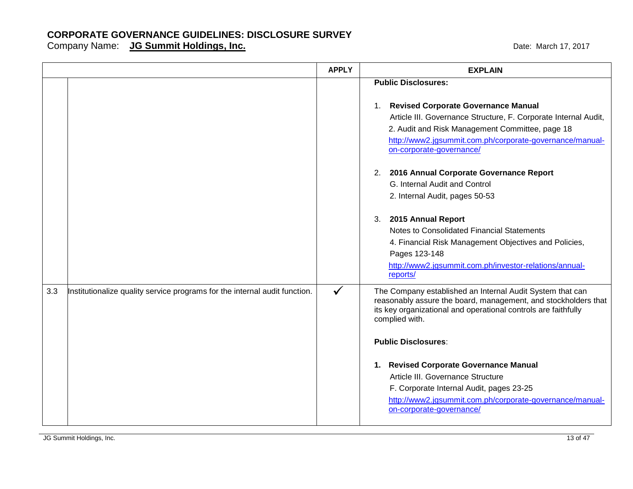|     |                                                                            | <b>APPLY</b> | <b>EXPLAIN</b>                                                                                                                                                                                                                                                                                                                   |
|-----|----------------------------------------------------------------------------|--------------|----------------------------------------------------------------------------------------------------------------------------------------------------------------------------------------------------------------------------------------------------------------------------------------------------------------------------------|
|     |                                                                            |              | <b>Public Disclosures:</b><br>1. Revised Corporate Governance Manual<br>Article III. Governance Structure, F. Corporate Internal Audit,<br>2. Audit and Risk Management Committee, page 18<br>http://www2.jgsummit.com.ph/corporate-governance/manual-<br>on-corporate-governance/<br>2. 2016 Annual Corporate Governance Report |
|     |                                                                            |              | G. Internal Audit and Control<br>2. Internal Audit, pages 50-53                                                                                                                                                                                                                                                                  |
|     |                                                                            |              | 2015 Annual Report<br>3.<br>Notes to Consolidated Financial Statements<br>4. Financial Risk Management Objectives and Policies,<br>Pages 123-148<br>http://www2.jgsummit.com.ph/investor-relations/annual-<br>reports/                                                                                                           |
| 3.3 | Institutionalize quality service programs for the internal audit function. | $\checkmark$ | The Company established an Internal Audit System that can<br>reasonably assure the board, management, and stockholders that<br>its key organizational and operational controls are faithfully<br>complied with.                                                                                                                  |
|     |                                                                            |              | <b>Public Disclosures:</b><br>1. Revised Corporate Governance Manual<br>Article III. Governance Structure<br>F. Corporate Internal Audit, pages 23-25<br>http://www2.jgsummit.com.ph/corporate-governance/manual-<br>on-corporate-governance/                                                                                    |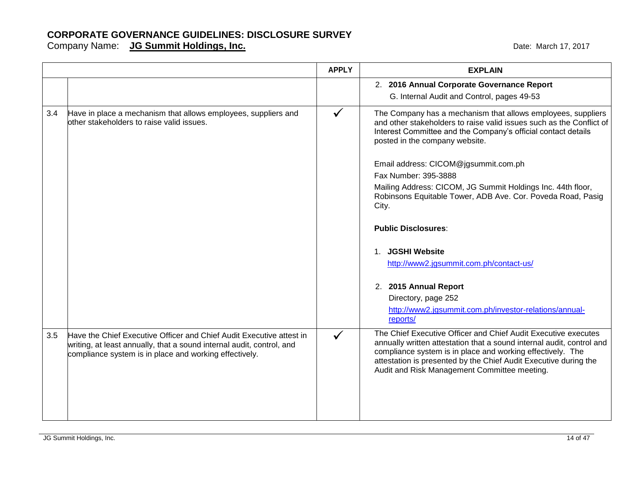|     |                                                                                                                                                                                                         | <b>APPLY</b> | <b>EXPLAIN</b>                                                                                                                                                                                                                                                                                                            |
|-----|---------------------------------------------------------------------------------------------------------------------------------------------------------------------------------------------------------|--------------|---------------------------------------------------------------------------------------------------------------------------------------------------------------------------------------------------------------------------------------------------------------------------------------------------------------------------|
|     |                                                                                                                                                                                                         |              | 2. 2016 Annual Corporate Governance Report<br>G. Internal Audit and Control, pages 49-53                                                                                                                                                                                                                                  |
| 3.4 | Have in place a mechanism that allows employees, suppliers and<br>other stakeholders to raise valid issues.                                                                                             | $\checkmark$ | The Company has a mechanism that allows employees, suppliers<br>and other stakeholders to raise valid issues such as the Conflict of<br>Interest Committee and the Company's official contact details<br>posted in the company website.                                                                                   |
|     |                                                                                                                                                                                                         |              | Email address: CICOM@jgsummit.com.ph                                                                                                                                                                                                                                                                                      |
|     |                                                                                                                                                                                                         |              | Fax Number: 395-3888                                                                                                                                                                                                                                                                                                      |
|     |                                                                                                                                                                                                         |              | Mailing Address: CICOM, JG Summit Holdings Inc. 44th floor,<br>Robinsons Equitable Tower, ADB Ave. Cor. Poveda Road, Pasig<br>City.                                                                                                                                                                                       |
|     |                                                                                                                                                                                                         |              | <b>Public Disclosures:</b>                                                                                                                                                                                                                                                                                                |
|     |                                                                                                                                                                                                         |              | 1. JGSHI Website                                                                                                                                                                                                                                                                                                          |
|     |                                                                                                                                                                                                         |              | http://www2.jgsummit.com.ph/contact-us/                                                                                                                                                                                                                                                                                   |
|     |                                                                                                                                                                                                         |              | 2. 2015 Annual Report                                                                                                                                                                                                                                                                                                     |
|     |                                                                                                                                                                                                         |              | Directory, page 252                                                                                                                                                                                                                                                                                                       |
|     |                                                                                                                                                                                                         |              | http://www2.jgsummit.com.ph/investor-relations/annual-<br>reports/                                                                                                                                                                                                                                                        |
| 3.5 | Have the Chief Executive Officer and Chief Audit Executive attest in<br>writing, at least annually, that a sound internal audit, control, and<br>compliance system is in place and working effectively. | $\checkmark$ | The Chief Executive Officer and Chief Audit Executive executes<br>annually written attestation that a sound internal audit, control and<br>compliance system is in place and working effectively. The<br>attestation is presented by the Chief Audit Executive during the<br>Audit and Risk Management Committee meeting. |
|     |                                                                                                                                                                                                         |              |                                                                                                                                                                                                                                                                                                                           |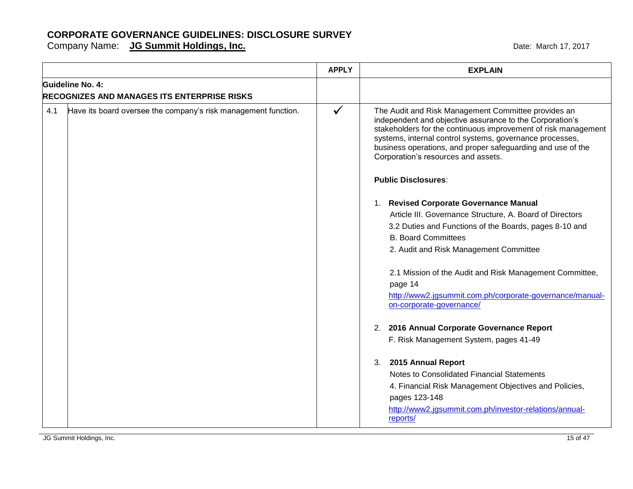|     |                                                                | <b>APPLY</b> | <b>EXPLAIN</b>                                                                                                                                                                                                                                                                                                                                      |
|-----|----------------------------------------------------------------|--------------|-----------------------------------------------------------------------------------------------------------------------------------------------------------------------------------------------------------------------------------------------------------------------------------------------------------------------------------------------------|
|     | Guideline No. 4:                                               |              |                                                                                                                                                                                                                                                                                                                                                     |
|     | <b>RECOGNIZES AND MANAGES ITS ENTERPRISE RISKS</b>             |              |                                                                                                                                                                                                                                                                                                                                                     |
| 4.1 | Have its board oversee the company's risk management function. | $\checkmark$ | The Audit and Risk Management Committee provides an<br>independent and objective assurance to the Corporation's<br>stakeholders for the continuous improvement of risk management<br>systems, internal control systems, governance processes,<br>business operations, and proper safeguarding and use of the<br>Corporation's resources and assets. |
|     |                                                                |              | <b>Public Disclosures:</b>                                                                                                                                                                                                                                                                                                                          |
|     |                                                                |              | 1. Revised Corporate Governance Manual                                                                                                                                                                                                                                                                                                              |
|     |                                                                |              | Article III. Governance Structure, A. Board of Directors                                                                                                                                                                                                                                                                                            |
|     |                                                                |              | 3.2 Duties and Functions of the Boards, pages 8-10 and                                                                                                                                                                                                                                                                                              |
|     |                                                                |              | <b>B. Board Committees</b>                                                                                                                                                                                                                                                                                                                          |
|     |                                                                |              | 2. Audit and Risk Management Committee                                                                                                                                                                                                                                                                                                              |
|     |                                                                |              | 2.1 Mission of the Audit and Risk Management Committee,                                                                                                                                                                                                                                                                                             |
|     |                                                                |              | page 14                                                                                                                                                                                                                                                                                                                                             |
|     |                                                                |              | http://www2.jgsummit.com.ph/corporate-governance/manual-<br>on-corporate-governance/                                                                                                                                                                                                                                                                |
|     |                                                                |              | 2. 2016 Annual Corporate Governance Report                                                                                                                                                                                                                                                                                                          |
|     |                                                                |              | F. Risk Management System, pages 41-49                                                                                                                                                                                                                                                                                                              |
|     |                                                                |              | 2015 Annual Report<br>3.                                                                                                                                                                                                                                                                                                                            |
|     |                                                                |              | Notes to Consolidated Financial Statements                                                                                                                                                                                                                                                                                                          |
|     |                                                                |              | 4. Financial Risk Management Objectives and Policies,                                                                                                                                                                                                                                                                                               |
|     |                                                                |              | pages 123-148                                                                                                                                                                                                                                                                                                                                       |
|     |                                                                |              | http://www2.jgsummit.com.ph/investor-relations/annual-<br>reports/                                                                                                                                                                                                                                                                                  |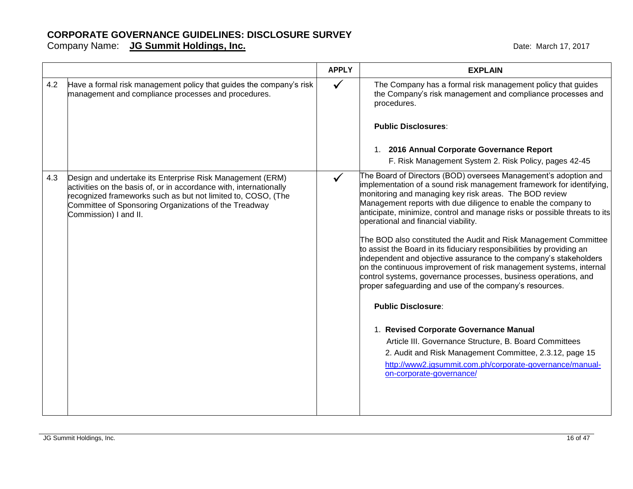|     |                                                                                                                                                                                                                                                                                   | <b>APPLY</b> | <b>EXPLAIN</b>                                                                                                                                                                                                                                                                                                                                                                                                                                                                                                                                                                                                                                                                                                                                                                                                                                                                                                                                                                                                                                                                                     |
|-----|-----------------------------------------------------------------------------------------------------------------------------------------------------------------------------------------------------------------------------------------------------------------------------------|--------------|----------------------------------------------------------------------------------------------------------------------------------------------------------------------------------------------------------------------------------------------------------------------------------------------------------------------------------------------------------------------------------------------------------------------------------------------------------------------------------------------------------------------------------------------------------------------------------------------------------------------------------------------------------------------------------------------------------------------------------------------------------------------------------------------------------------------------------------------------------------------------------------------------------------------------------------------------------------------------------------------------------------------------------------------------------------------------------------------------|
| 4.2 | Have a formal risk management policy that guides the company's risk<br>management and compliance processes and procedures.                                                                                                                                                        | $\checkmark$ | The Company has a formal risk management policy that guides<br>the Company's risk management and compliance processes and<br>procedures.<br><b>Public Disclosures:</b><br>1. 2016 Annual Corporate Governance Report<br>F. Risk Management System 2. Risk Policy, pages 42-45                                                                                                                                                                                                                                                                                                                                                                                                                                                                                                                                                                                                                                                                                                                                                                                                                      |
| 4.3 | Design and undertake its Enterprise Risk Management (ERM)<br>activities on the basis of, or in accordance with, internationally<br>recognized frameworks such as but not limited to, COSO, (The<br>Committee of Sponsoring Organizations of the Treadway<br>Commission) I and II. | $\checkmark$ | The Board of Directors (BOD) oversees Management's adoption and<br>implementation of a sound risk management framework for identifying,<br>monitoring and managing key risk areas. The BOD review<br>Management reports with due diligence to enable the company to<br>anticipate, minimize, control and manage risks or possible threats to its<br>operational and financial viability.<br>The BOD also constituted the Audit and Risk Management Committee<br>to assist the Board in its fiduciary responsibilities by providing an<br>independent and objective assurance to the company's stakeholders<br>on the continuous improvement of risk management systems, internal<br>control systems, governance processes, business operations, and<br>proper safeguarding and use of the company's resources.<br><b>Public Disclosure:</b><br>1. Revised Corporate Governance Manual<br>Article III. Governance Structure, B. Board Committees<br>2. Audit and Risk Management Committee, 2.3.12, page 15<br>http://www2.jgsummit.com.ph/corporate-governance/manual-<br>on-corporate-governance/ |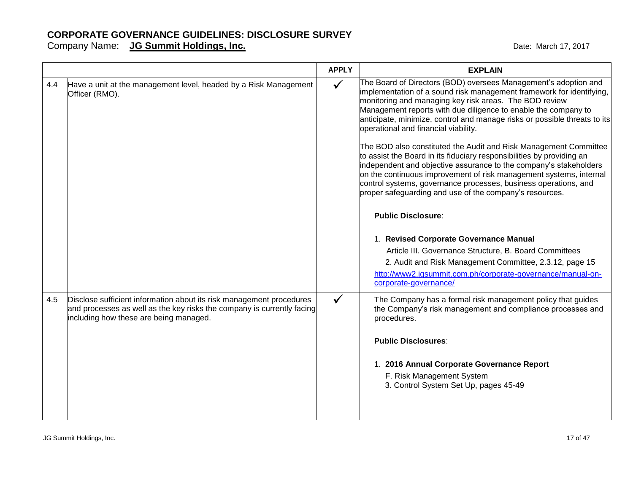|     |                                                                                                                                                                                          | <b>APPLY</b> | <b>EXPLAIN</b>                                                                                                                                                                                                                                                                                                                                                                                                                                                                                                                                                                                                                                                                                                                                                                                                                                                                                                                                                                                                                                                                                     |
|-----|------------------------------------------------------------------------------------------------------------------------------------------------------------------------------------------|--------------|----------------------------------------------------------------------------------------------------------------------------------------------------------------------------------------------------------------------------------------------------------------------------------------------------------------------------------------------------------------------------------------------------------------------------------------------------------------------------------------------------------------------------------------------------------------------------------------------------------------------------------------------------------------------------------------------------------------------------------------------------------------------------------------------------------------------------------------------------------------------------------------------------------------------------------------------------------------------------------------------------------------------------------------------------------------------------------------------------|
| 4.4 | Have a unit at the management level, headed by a Risk Management<br>Officer (RMO).                                                                                                       | $\checkmark$ | The Board of Directors (BOD) oversees Management's adoption and<br>implementation of a sound risk management framework for identifying,<br>monitoring and managing key risk areas. The BOD review<br>Management reports with due diligence to enable the company to<br>anticipate, minimize, control and manage risks or possible threats to its<br>operational and financial viability.<br>The BOD also constituted the Audit and Risk Management Committee<br>to assist the Board in its fiduciary responsibilities by providing an<br>independent and objective assurance to the company's stakeholders<br>on the continuous improvement of risk management systems, internal<br>control systems, governance processes, business operations, and<br>proper safeguarding and use of the company's resources.<br><b>Public Disclosure:</b><br>1. Revised Corporate Governance Manual<br>Article III. Governance Structure, B. Board Committees<br>2. Audit and Risk Management Committee, 2.3.12, page 15<br>http://www2.jgsummit.com.ph/corporate-governance/manual-on-<br>corporate-governance/ |
| 4.5 | Disclose sufficient information about its risk management procedures<br>and processes as well as the key risks the company is currently facing<br>including how these are being managed. |              | The Company has a formal risk management policy that guides<br>the Company's risk management and compliance processes and<br>procedures.<br><b>Public Disclosures:</b><br>1. 2016 Annual Corporate Governance Report<br>F. Risk Management System<br>3. Control System Set Up, pages 45-49                                                                                                                                                                                                                                                                                                                                                                                                                                                                                                                                                                                                                                                                                                                                                                                                         |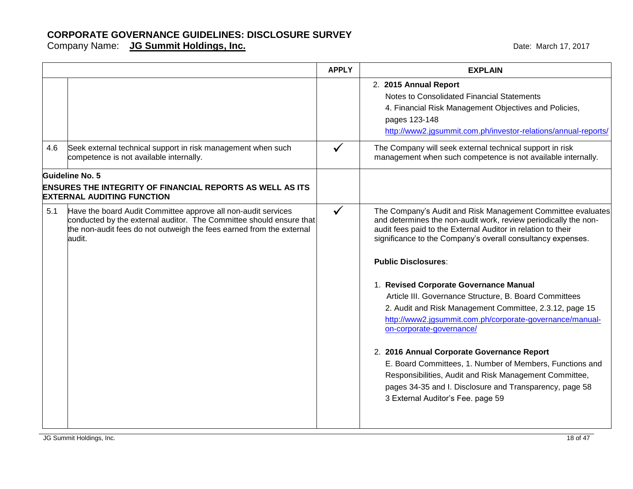|     |                                                                                                                                                                                                                        | <b>APPLY</b> | <b>EXPLAIN</b>                                                                                                                                                                                                                                                                                                                                                                                                                                                                                                                                     |
|-----|------------------------------------------------------------------------------------------------------------------------------------------------------------------------------------------------------------------------|--------------|----------------------------------------------------------------------------------------------------------------------------------------------------------------------------------------------------------------------------------------------------------------------------------------------------------------------------------------------------------------------------------------------------------------------------------------------------------------------------------------------------------------------------------------------------|
|     |                                                                                                                                                                                                                        |              | 2. 2015 Annual Report<br>Notes to Consolidated Financial Statements<br>4. Financial Risk Management Objectives and Policies,<br>pages 123-148<br>http://www2.jgsummit.com.ph/investor-relations/annual-reports/                                                                                                                                                                                                                                                                                                                                    |
| 4.6 | Seek external technical support in risk management when such<br>competence is not available internally.                                                                                                                |              | The Company will seek external technical support in risk<br>management when such competence is not available internally.                                                                                                                                                                                                                                                                                                                                                                                                                           |
|     | <b>Guideline No. 5</b><br><b>ENSURES THE INTEGRITY OF FINANCIAL REPORTS AS WELL AS ITS</b><br><b>EXTERNAL AUDITING FUNCTION</b>                                                                                        |              |                                                                                                                                                                                                                                                                                                                                                                                                                                                                                                                                                    |
| 5.1 | Have the board Audit Committee approve all non-audit services<br>conducted by the external auditor. The Committee should ensure that<br>the non-audit fees do not outweigh the fees earned from the external<br>audit. | $\checkmark$ | The Company's Audit and Risk Management Committee evaluates<br>and determines the non-audit work, review periodically the non-<br>audit fees paid to the External Auditor in relation to their<br>significance to the Company's overall consultancy expenses.<br><b>Public Disclosures:</b><br>1. Revised Corporate Governance Manual<br>Article III. Governance Structure, B. Board Committees<br>2. Audit and Risk Management Committee, 2.3.12, page 15<br>http://www2.jgsummit.com.ph/corporate-governance/manual-<br>on-corporate-governance/ |
|     |                                                                                                                                                                                                                        |              | 2. 2016 Annual Corporate Governance Report<br>E. Board Committees, 1. Number of Members, Functions and<br>Responsibilities, Audit and Risk Management Committee,<br>pages 34-35 and I. Disclosure and Transparency, page 58<br>3 External Auditor's Fee. page 59                                                                                                                                                                                                                                                                                   |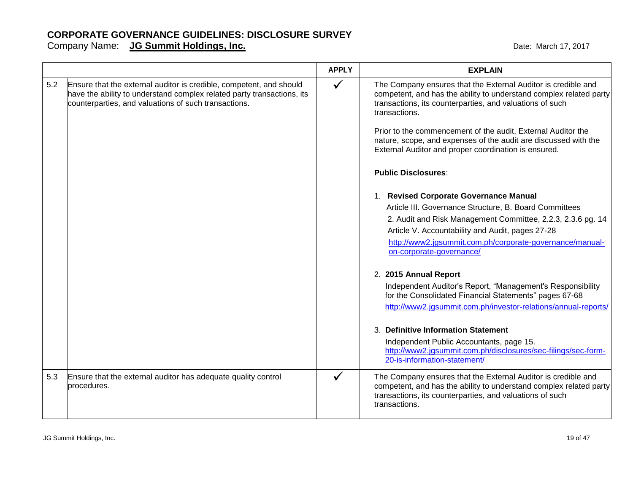|     |                                                                                                                                                                                                       | <b>APPLY</b> | <b>EXPLAIN</b>                                                                                                                                                                                                                                                                                                                                                                                                                                                                                                                                                                                                                                                                                                                                                                                                                                                                                                                                                                                                                                                                                                                                                  |
|-----|-------------------------------------------------------------------------------------------------------------------------------------------------------------------------------------------------------|--------------|-----------------------------------------------------------------------------------------------------------------------------------------------------------------------------------------------------------------------------------------------------------------------------------------------------------------------------------------------------------------------------------------------------------------------------------------------------------------------------------------------------------------------------------------------------------------------------------------------------------------------------------------------------------------------------------------------------------------------------------------------------------------------------------------------------------------------------------------------------------------------------------------------------------------------------------------------------------------------------------------------------------------------------------------------------------------------------------------------------------------------------------------------------------------|
| 5.2 | Ensure that the external auditor is credible, competent, and should<br>have the ability to understand complex related party transactions, its<br>counterparties, and valuations of such transactions. | $\checkmark$ | The Company ensures that the External Auditor is credible and<br>competent, and has the ability to understand complex related party<br>transactions, its counterparties, and valuations of such<br>transactions.<br>Prior to the commencement of the audit, External Auditor the<br>nature, scope, and expenses of the audit are discussed with the<br>External Auditor and proper coordination is ensured.<br><b>Public Disclosures:</b><br>1. Revised Corporate Governance Manual<br>Article III. Governance Structure, B. Board Committees<br>2. Audit and Risk Management Committee, 2.2.3, 2.3.6 pg. 14<br>Article V. Accountability and Audit, pages 27-28<br>http://www2.jgsummit.com.ph/corporate-governance/manual-<br>on-corporate-governance/<br>2. 2015 Annual Report<br>Independent Auditor's Report, "Management's Responsibility<br>for the Consolidated Financial Statements" pages 67-68<br>http://www2.jgsummit.com.ph/investor-relations/annual-reports/<br>3. Definitive Information Statement<br>Independent Public Accountants, page 15.<br>http://www2.jgsummit.com.ph/disclosures/sec-filings/sec-form-<br>20-is-information-statement/ |
| 5.3 | Ensure that the external auditor has adequate quality control<br>procedures.                                                                                                                          | $\checkmark$ | The Company ensures that the External Auditor is credible and<br>competent, and has the ability to understand complex related party<br>transactions, its counterparties, and valuations of such<br>transactions.                                                                                                                                                                                                                                                                                                                                                                                                                                                                                                                                                                                                                                                                                                                                                                                                                                                                                                                                                |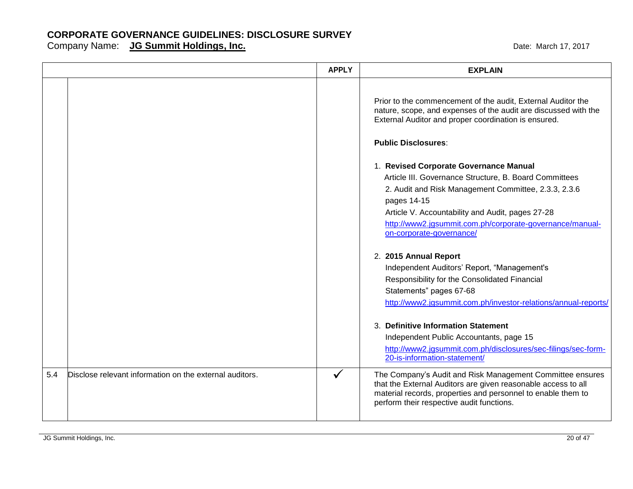|     |                                                         | <b>APPLY</b> | <b>EXPLAIN</b>                                                                                                                                                                                                                                                                                                      |
|-----|---------------------------------------------------------|--------------|---------------------------------------------------------------------------------------------------------------------------------------------------------------------------------------------------------------------------------------------------------------------------------------------------------------------|
|     |                                                         |              | Prior to the commencement of the audit, External Auditor the<br>nature, scope, and expenses of the audit are discussed with the<br>External Auditor and proper coordination is ensured.<br><b>Public Disclosures:</b>                                                                                               |
|     |                                                         |              | 1. Revised Corporate Governance Manual<br>Article III. Governance Structure, B. Board Committees<br>2. Audit and Risk Management Committee, 2.3.3, 2.3.6<br>pages 14-15<br>Article V. Accountability and Audit, pages 27-28<br>http://www2.jgsummit.com.ph/corporate-governance/manual-<br>on-corporate-governance/ |
|     |                                                         |              | 2. 2015 Annual Report<br>Independent Auditors' Report, "Management's<br>Responsibility for the Consolidated Financial<br>Statements" pages 67-68<br>http://www2.jgsummit.com.ph/investor-relations/annual-reports/                                                                                                  |
|     |                                                         |              | 3. Definitive Information Statement<br>Independent Public Accountants, page 15<br>http://www2.jgsummit.com.ph/disclosures/sec-filings/sec-form-<br>20-is-information-statement/                                                                                                                                     |
| 5.4 | Disclose relevant information on the external auditors. | $\checkmark$ | The Company's Audit and Risk Management Committee ensures<br>that the External Auditors are given reasonable access to all<br>material records, properties and personnel to enable them to<br>perform their respective audit functions.                                                                             |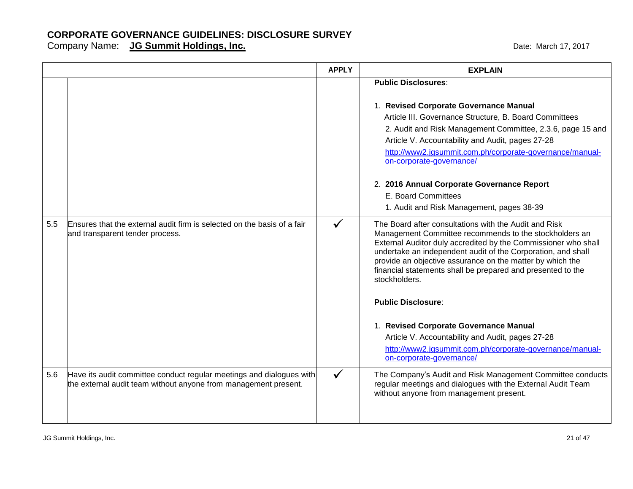|     |                                                                                                                                         | <b>APPLY</b> | <b>EXPLAIN</b>                                                                                                                                                                                                                                                                                                                                                                                 |
|-----|-----------------------------------------------------------------------------------------------------------------------------------------|--------------|------------------------------------------------------------------------------------------------------------------------------------------------------------------------------------------------------------------------------------------------------------------------------------------------------------------------------------------------------------------------------------------------|
|     |                                                                                                                                         |              | <b>Public Disclosures:</b>                                                                                                                                                                                                                                                                                                                                                                     |
|     |                                                                                                                                         |              | 1. Revised Corporate Governance Manual<br>Article III. Governance Structure, B. Board Committees<br>2. Audit and Risk Management Committee, 2.3.6, page 15 and<br>Article V. Accountability and Audit, pages 27-28<br>http://www2.jgsummit.com.ph/corporate-governance/manual-<br>on-corporate-governance/                                                                                     |
|     |                                                                                                                                         |              | 2. 2016 Annual Corporate Governance Report<br>E. Board Committees<br>1. Audit and Risk Management, pages 38-39                                                                                                                                                                                                                                                                                 |
| 5.5 | Ensures that the external audit firm is selected on the basis of a fair<br>and transparent tender process.                              |              | The Board after consultations with the Audit and Risk<br>Management Committee recommends to the stockholders an<br>External Auditor duly accredited by the Commissioner who shall<br>undertake an independent audit of the Corporation, and shall<br>provide an objective assurance on the matter by which the<br>financial statements shall be prepared and presented to the<br>stockholders. |
|     |                                                                                                                                         |              | <b>Public Disclosure:</b>                                                                                                                                                                                                                                                                                                                                                                      |
|     |                                                                                                                                         |              | 1. Revised Corporate Governance Manual<br>Article V. Accountability and Audit, pages 27-28<br>http://www2.jgsummit.com.ph/corporate-governance/manual-<br>on-corporate-governance/                                                                                                                                                                                                             |
| 5.6 | Have its audit committee conduct regular meetings and dialogues with<br>the external audit team without anyone from management present. | ✓            | The Company's Audit and Risk Management Committee conducts<br>regular meetings and dialogues with the External Audit Team<br>without anyone from management present.                                                                                                                                                                                                                           |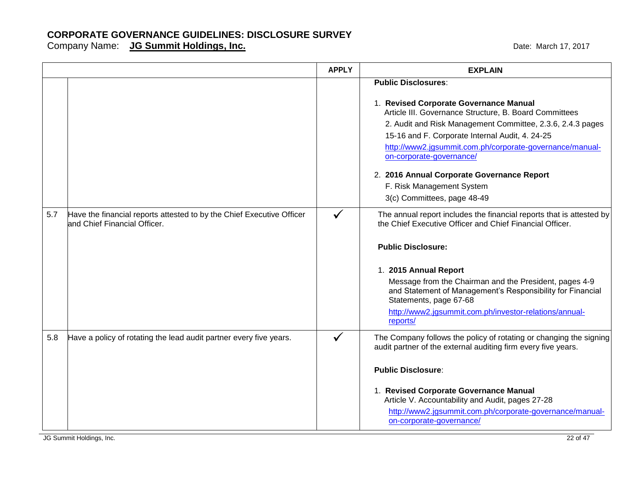Company Name: **JG Summit Holdings, Inc. Company Name: 17, 2017** Date: March 17, 2017

|     |                                                                                                       | <b>APPLY</b> | <b>EXPLAIN</b>                                                                                                                                                                                                                                                                                                                                                                                                                                    |
|-----|-------------------------------------------------------------------------------------------------------|--------------|---------------------------------------------------------------------------------------------------------------------------------------------------------------------------------------------------------------------------------------------------------------------------------------------------------------------------------------------------------------------------------------------------------------------------------------------------|
|     |                                                                                                       |              | <b>Public Disclosures:</b><br>1. Revised Corporate Governance Manual<br>Article III. Governance Structure, B. Board Committees<br>2. Audit and Risk Management Committee, 2.3.6, 2.4.3 pages<br>15-16 and F. Corporate Internal Audit, 4. 24-25<br>http://www2.jgsummit.com.ph/corporate-governance/manual-<br>on-corporate-governance/<br>2. 2016 Annual Corporate Governance Report<br>F. Risk Management System<br>3(c) Committees, page 48-49 |
| 5.7 | Have the financial reports attested to by the Chief Executive Officer<br>and Chief Financial Officer. | $\checkmark$ | The annual report includes the financial reports that is attested by<br>the Chief Executive Officer and Chief Financial Officer.<br><b>Public Disclosure:</b><br>1. 2015 Annual Report<br>Message from the Chairman and the President, pages 4-9<br>and Statement of Management's Responsibility for Financial<br>Statements, page 67-68<br>http://www2.jgsummit.com.ph/investor-relations/annual-<br>reports/                                    |
| 5.8 | Have a policy of rotating the lead audit partner every five years.                                    | $\checkmark$ | The Company follows the policy of rotating or changing the signing<br>audit partner of the external auditing firm every five years.<br><b>Public Disclosure:</b><br>1. Revised Corporate Governance Manual<br>Article V. Accountability and Audit, pages 27-28<br>http://www2.jgsummit.com.ph/corporate-governance/manual-<br>on-corporate-governance/                                                                                            |

JG Summit Holdings, Inc. 22 of 47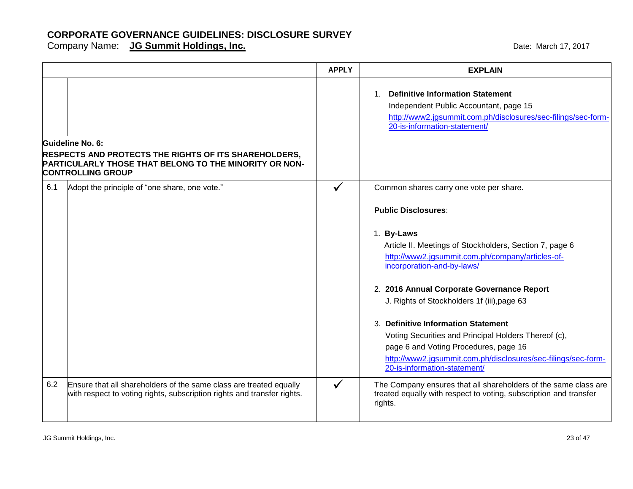|     |                                                                                                                                                                        | <b>APPLY</b> | <b>EXPLAIN</b>                                                                                                                                                                                                                                                                                                                                                                                                                                                                                                                                                         |
|-----|------------------------------------------------------------------------------------------------------------------------------------------------------------------------|--------------|------------------------------------------------------------------------------------------------------------------------------------------------------------------------------------------------------------------------------------------------------------------------------------------------------------------------------------------------------------------------------------------------------------------------------------------------------------------------------------------------------------------------------------------------------------------------|
|     |                                                                                                                                                                        |              | 1. Definitive Information Statement<br>Independent Public Accountant, page 15<br>http://www2.jgsummit.com.ph/disclosures/sec-filings/sec-form-<br>20-is-information-statement/                                                                                                                                                                                                                                                                                                                                                                                         |
|     | Guideline No. 6:<br><b>RESPECTS AND PROTECTS THE RIGHTS OF ITS SHAREHOLDERS,</b><br>PARTICULARLY THOSE THAT BELONG TO THE MINORITY OR NON-<br><b>CONTROLLING GROUP</b> |              |                                                                                                                                                                                                                                                                                                                                                                                                                                                                                                                                                                        |
| 6.1 | Adopt the principle of "one share, one vote."                                                                                                                          | $\checkmark$ | Common shares carry one vote per share.<br><b>Public Disclosures:</b><br>1. By-Laws<br>Article II. Meetings of Stockholders, Section 7, page 6<br>http://www2.jgsummit.com.ph/company/articles-of-<br>incorporation-and-by-laws/<br>2. 2016 Annual Corporate Governance Report<br>J. Rights of Stockholders 1f (iii), page 63<br>3. Definitive Information Statement<br>Voting Securities and Principal Holders Thereof (c),<br>page 6 and Voting Procedures, page 16<br>http://www2.jgsummit.com.ph/disclosures/sec-filings/sec-form-<br>20-is-information-statement/ |
| 6.2 | Ensure that all shareholders of the same class are treated equally<br>with respect to voting rights, subscription rights and transfer rights.                          | $\checkmark$ | The Company ensures that all shareholders of the same class are<br>treated equally with respect to voting, subscription and transfer<br>rights.                                                                                                                                                                                                                                                                                                                                                                                                                        |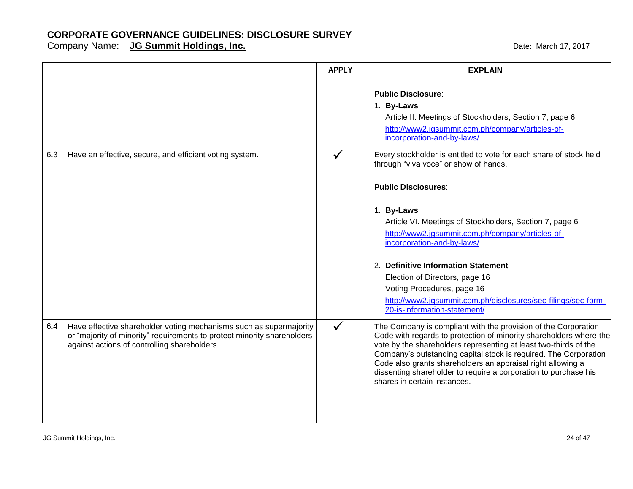|     |                                                                                                                                                                                               | <b>APPLY</b> | <b>EXPLAIN</b>                                                                                                                                                                                                                                                                                                                                                                                                                                                                                               |
|-----|-----------------------------------------------------------------------------------------------------------------------------------------------------------------------------------------------|--------------|--------------------------------------------------------------------------------------------------------------------------------------------------------------------------------------------------------------------------------------------------------------------------------------------------------------------------------------------------------------------------------------------------------------------------------------------------------------------------------------------------------------|
|     |                                                                                                                                                                                               |              | <b>Public Disclosure:</b><br>1. By-Laws<br>Article II. Meetings of Stockholders, Section 7, page 6<br>http://www2.jgsummit.com.ph/company/articles-of-<br>incorporation-and-by-laws/                                                                                                                                                                                                                                                                                                                         |
| 6.3 | Have an effective, secure, and efficient voting system.                                                                                                                                       |              | Every stockholder is entitled to vote for each share of stock held<br>through "viva voce" or show of hands.<br><b>Public Disclosures:</b><br>1. By-Laws<br>Article VI. Meetings of Stockholders, Section 7, page 6<br>http://www2.jgsummit.com.ph/company/articles-of-<br>incorporation-and-by-laws/<br>2. Definitive Information Statement<br>Election of Directors, page 16<br>Voting Procedures, page 16<br>http://www2.jgsummit.com.ph/disclosures/sec-filings/sec-form-<br>20-is-information-statement/ |
| 6.4 | Have effective shareholder voting mechanisms such as supermajority<br>or "majority of minority" requirements to protect minority shareholders<br>against actions of controlling shareholders. | $\checkmark$ | The Company is compliant with the provision of the Corporation<br>Code with regards to protection of minority shareholders where the<br>vote by the shareholders representing at least two-thirds of the<br>Company's outstanding capital stock is required. The Corporation<br>Code also grants shareholders an appraisal right allowing a<br>dissenting shareholder to require a corporation to purchase his<br>shares in certain instances.                                                               |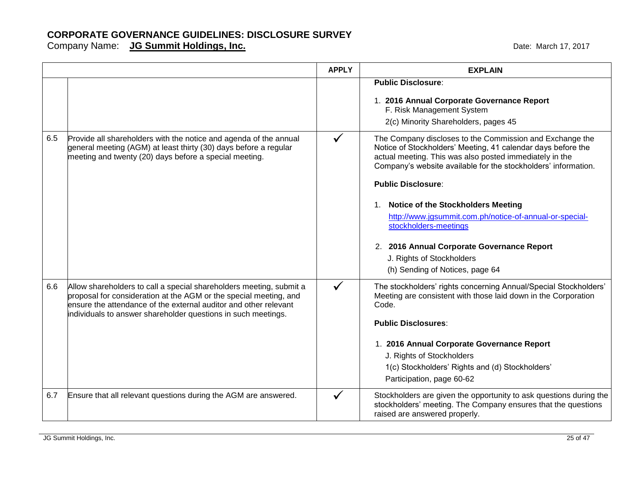|     |                                                                                                                                                                                                                                                                                | <b>APPLY</b> | <b>EXPLAIN</b>                                                                                                                                                                                                                                                                                                                                                                                                                                                                                                                |
|-----|--------------------------------------------------------------------------------------------------------------------------------------------------------------------------------------------------------------------------------------------------------------------------------|--------------|-------------------------------------------------------------------------------------------------------------------------------------------------------------------------------------------------------------------------------------------------------------------------------------------------------------------------------------------------------------------------------------------------------------------------------------------------------------------------------------------------------------------------------|
|     |                                                                                                                                                                                                                                                                                |              | <b>Public Disclosure:</b><br>1. 2016 Annual Corporate Governance Report<br>F. Risk Management System<br>2(c) Minority Shareholders, pages 45                                                                                                                                                                                                                                                                                                                                                                                  |
| 6.5 | Provide all shareholders with the notice and agenda of the annual<br>general meeting (AGM) at least thirty (30) days before a regular<br>meeting and twenty (20) days before a special meeting.                                                                                | $\checkmark$ | The Company discloses to the Commission and Exchange the<br>Notice of Stockholders' Meeting, 41 calendar days before the<br>actual meeting. This was also posted immediately in the<br>Company's website available for the stockholders' information.<br><b>Public Disclosure:</b><br>1. Notice of the Stockholders Meeting<br>http://www.jgsummit.com.ph/notice-of-annual-or-special-<br>stockholders-meetings<br>2. 2016 Annual Corporate Governance Report<br>J. Rights of Stockholders<br>(h) Sending of Notices, page 64 |
| 6.6 | Allow shareholders to call a special shareholders meeting, submit a<br>proposal for consideration at the AGM or the special meeting, and<br>lensure the attendance of the external auditor and other relevant<br>individuals to answer shareholder questions in such meetings. |              | The stockholders' rights concerning Annual/Special Stockholders'<br>Meeting are consistent with those laid down in the Corporation<br>Code.<br><b>Public Disclosures:</b><br>1. 2016 Annual Corporate Governance Report<br>J. Rights of Stockholders<br>1(c) Stockholders' Rights and (d) Stockholders'<br>Participation, page 60-62                                                                                                                                                                                          |
| 6.7 | Ensure that all relevant questions during the AGM are answered.                                                                                                                                                                                                                |              | Stockholders are given the opportunity to ask questions during the<br>stockholders' meeting. The Company ensures that the questions<br>raised are answered properly.                                                                                                                                                                                                                                                                                                                                                          |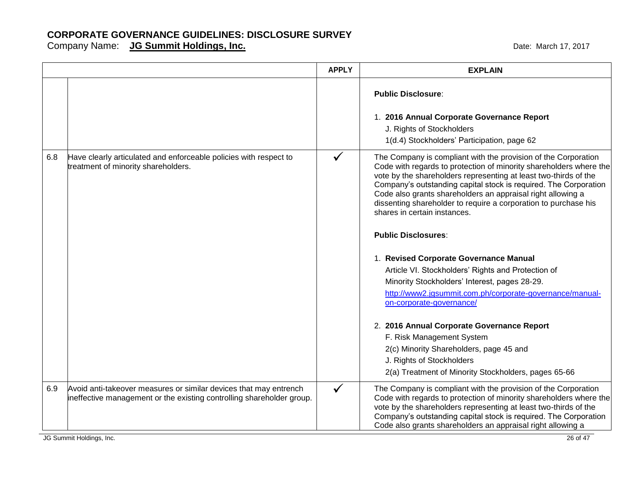Company Name: **JG Summit Holdings, Inc. Company Name: 17, 2017** Date: March 17, 2017

|     |                                                                                                                                            | <b>APPLY</b> | <b>EXPLAIN</b>                                                                                                                                                                                                                                                                                                                                                                                                                                                                                                                                                                                                                                                                                                                                                                                                                                                                                                                   |
|-----|--------------------------------------------------------------------------------------------------------------------------------------------|--------------|----------------------------------------------------------------------------------------------------------------------------------------------------------------------------------------------------------------------------------------------------------------------------------------------------------------------------------------------------------------------------------------------------------------------------------------------------------------------------------------------------------------------------------------------------------------------------------------------------------------------------------------------------------------------------------------------------------------------------------------------------------------------------------------------------------------------------------------------------------------------------------------------------------------------------------|
|     |                                                                                                                                            |              | <b>Public Disclosure:</b><br>1. 2016 Annual Corporate Governance Report<br>J. Rights of Stockholders<br>1(d.4) Stockholders' Participation, page 62                                                                                                                                                                                                                                                                                                                                                                                                                                                                                                                                                                                                                                                                                                                                                                              |
| 6.8 | Have clearly articulated and enforceable policies with respect to<br>treatment of minority shareholders.                                   |              | The Company is compliant with the provision of the Corporation<br>Code with regards to protection of minority shareholders where the<br>vote by the shareholders representing at least two-thirds of the<br>Company's outstanding capital stock is required. The Corporation<br>Code also grants shareholders an appraisal right allowing a<br>dissenting shareholder to require a corporation to purchase his<br>shares in certain instances.<br><b>Public Disclosures:</b><br>1. Revised Corporate Governance Manual<br>Article VI. Stockholders' Rights and Protection of<br>Minority Stockholders' Interest, pages 28-29.<br>http://www2.jgsummit.com.ph/corporate-governance/manual-<br>on-corporate-governance/<br>2. 2016 Annual Corporate Governance Report<br>F. Risk Management System<br>2(c) Minority Shareholders, page 45 and<br>J. Rights of Stockholders<br>2(a) Treatment of Minority Stockholders, pages 65-66 |
| 6.9 | Avoid anti-takeover measures or similar devices that may entrench<br>ineffective management or the existing controlling shareholder group. | $\checkmark$ | The Company is compliant with the provision of the Corporation<br>Code with regards to protection of minority shareholders where the<br>vote by the shareholders representing at least two-thirds of the<br>Company's outstanding capital stock is required. The Corporation<br>Code also grants shareholders an appraisal right allowing a                                                                                                                                                                                                                                                                                                                                                                                                                                                                                                                                                                                      |

JG Summit Holdings, Inc. 26 of 47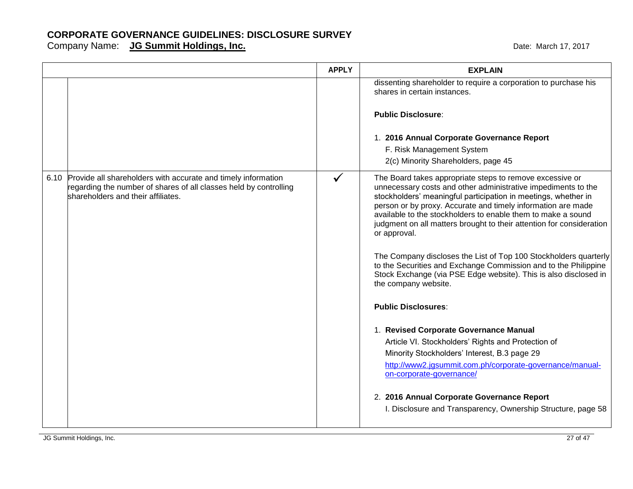|                                                                                                                                                                               | <b>APPLY</b> | <b>EXPLAIN</b>                                                                                                                                                                                                                                                                                                                                                                                                      |
|-------------------------------------------------------------------------------------------------------------------------------------------------------------------------------|--------------|---------------------------------------------------------------------------------------------------------------------------------------------------------------------------------------------------------------------------------------------------------------------------------------------------------------------------------------------------------------------------------------------------------------------|
|                                                                                                                                                                               |              | dissenting shareholder to require a corporation to purchase his<br>shares in certain instances.                                                                                                                                                                                                                                                                                                                     |
|                                                                                                                                                                               |              | <b>Public Disclosure:</b>                                                                                                                                                                                                                                                                                                                                                                                           |
|                                                                                                                                                                               |              | 1. 2016 Annual Corporate Governance Report                                                                                                                                                                                                                                                                                                                                                                          |
|                                                                                                                                                                               |              | F. Risk Management System                                                                                                                                                                                                                                                                                                                                                                                           |
|                                                                                                                                                                               |              | 2(c) Minority Shareholders, page 45                                                                                                                                                                                                                                                                                                                                                                                 |
| 6.10 Provide all shareholders with accurate and timely information<br>regarding the number of shares of all classes held by controlling<br>shareholders and their affiliates. | $\checkmark$ | The Board takes appropriate steps to remove excessive or<br>unnecessary costs and other administrative impediments to the<br>stockholders' meaningful participation in meetings, whether in<br>person or by proxy. Accurate and timely information are made<br>available to the stockholders to enable them to make a sound<br>judgment on all matters brought to their attention for consideration<br>or approval. |
|                                                                                                                                                                               |              | The Company discloses the List of Top 100 Stockholders quarterly<br>to the Securities and Exchange Commission and to the Philippine<br>Stock Exchange (via PSE Edge website). This is also disclosed in<br>the company website.                                                                                                                                                                                     |
|                                                                                                                                                                               |              | <b>Public Disclosures:</b>                                                                                                                                                                                                                                                                                                                                                                                          |
|                                                                                                                                                                               |              | 1. Revised Corporate Governance Manual<br>Article VI. Stockholders' Rights and Protection of<br>Minority Stockholders' Interest, B.3 page 29<br>http://www2.jgsummit.com.ph/corporate-governance/manual-<br>on-corporate-governance/<br>2. 2016 Annual Corporate Governance Report<br>I. Disclosure and Transparency, Ownership Structure, page 58                                                                  |
|                                                                                                                                                                               |              |                                                                                                                                                                                                                                                                                                                                                                                                                     |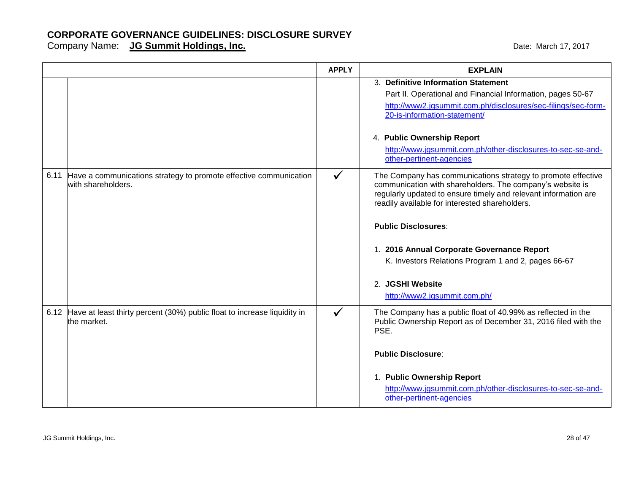|      |                                                                                         | <b>APPLY</b> | <b>EXPLAIN</b>                                                                                                                                                                                                                                 |
|------|-----------------------------------------------------------------------------------------|--------------|------------------------------------------------------------------------------------------------------------------------------------------------------------------------------------------------------------------------------------------------|
|      |                                                                                         |              | 3. Definitive Information Statement<br>Part II. Operational and Financial Information, pages 50-67<br>http://www2.jgsummit.com.ph/disclosures/sec-filings/sec-form-<br>20-is-information-statement/                                            |
|      |                                                                                         |              | 4. Public Ownership Report<br>http://www.jgsummit.com.ph/other-disclosures-to-sec-se-and-<br>other-pertinent-agencies                                                                                                                          |
| 6.11 | Have a communications strategy to promote effective communication<br>with shareholders. | $\checkmark$ | The Company has communications strategy to promote effective<br>communication with shareholders. The company's website is<br>regularly updated to ensure timely and relevant information are<br>readily available for interested shareholders. |
|      |                                                                                         |              | <b>Public Disclosures:</b>                                                                                                                                                                                                                     |
|      |                                                                                         |              | 1. 2016 Annual Corporate Governance Report<br>K. Investors Relations Program 1 and 2, pages 66-67                                                                                                                                              |
|      |                                                                                         |              | 2. JGSHI Website<br>http://www2.jgsummit.com.ph/                                                                                                                                                                                               |
| 6.12 | Have at least thirty percent (30%) public float to increase liquidity in<br>the market. | $\checkmark$ | The Company has a public float of 40.99% as reflected in the<br>Public Ownership Report as of December 31, 2016 filed with the<br>PSE.                                                                                                         |
|      |                                                                                         |              | <b>Public Disclosure:</b>                                                                                                                                                                                                                      |
|      |                                                                                         |              | 1. Public Ownership Report<br>http://www.jgsummit.com.ph/other-disclosures-to-sec-se-and-<br>other-pertinent-agencies                                                                                                                          |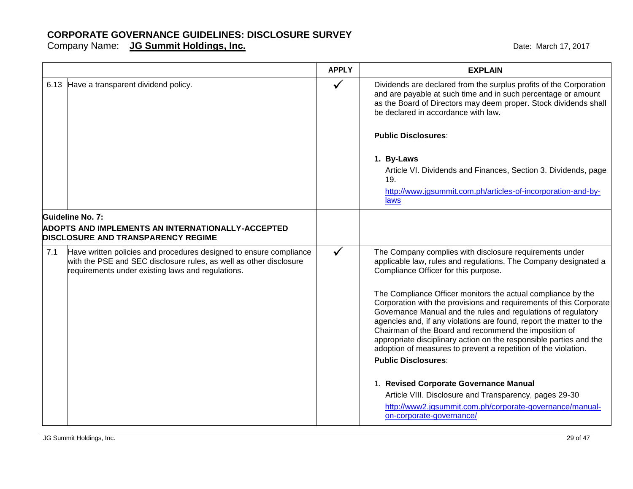|     |                                                                                                                                                                                               | <b>APPLY</b> | <b>EXPLAIN</b>                                                                                                                                                                                                                                                                                                                                                                                                                                                                                            |
|-----|-----------------------------------------------------------------------------------------------------------------------------------------------------------------------------------------------|--------------|-----------------------------------------------------------------------------------------------------------------------------------------------------------------------------------------------------------------------------------------------------------------------------------------------------------------------------------------------------------------------------------------------------------------------------------------------------------------------------------------------------------|
|     | 6.13 Have a transparent dividend policy.                                                                                                                                                      | $\checkmark$ | Dividends are declared from the surplus profits of the Corporation<br>and are payable at such time and in such percentage or amount<br>as the Board of Directors may deem proper. Stock dividends shall<br>be declared in accordance with law.                                                                                                                                                                                                                                                            |
|     |                                                                                                                                                                                               |              | <b>Public Disclosures:</b>                                                                                                                                                                                                                                                                                                                                                                                                                                                                                |
|     |                                                                                                                                                                                               |              | 1. By-Laws<br>Article VI. Dividends and Finances, Section 3. Dividends, page<br>19.<br>http://www.jgsummit.com.ph/articles-of-incorporation-and-by-<br>laws                                                                                                                                                                                                                                                                                                                                               |
|     | Guideline No. 7:<br><b>ADOPTS AND IMPLEMENTS AN INTERNATIONALLY-ACCEPTED</b><br><b>DISCLOSURE AND TRANSPARENCY REGIME</b>                                                                     |              |                                                                                                                                                                                                                                                                                                                                                                                                                                                                                                           |
| 7.1 | Have written policies and procedures designed to ensure compliance<br>with the PSE and SEC disclosure rules, as well as other disclosure<br>requirements under existing laws and regulations. | $\checkmark$ | The Company complies with disclosure requirements under<br>applicable law, rules and regulations. The Company designated a<br>Compliance Officer for this purpose.                                                                                                                                                                                                                                                                                                                                        |
|     |                                                                                                                                                                                               |              | The Compliance Officer monitors the actual compliance by the<br>Corporation with the provisions and requirements of this Corporate<br>Governance Manual and the rules and regulations of regulatory<br>agencies and, if any violations are found, report the matter to the<br>Chairman of the Board and recommend the imposition of<br>appropriate disciplinary action on the responsible parties and the<br>adoption of measures to prevent a repetition of the violation.<br><b>Public Disclosures:</b> |
|     |                                                                                                                                                                                               |              | 1. Revised Corporate Governance Manual<br>Article VIII. Disclosure and Transparency, pages 29-30<br>http://www2.jgsummit.com.ph/corporate-governance/manual-<br>on-corporate-governance/                                                                                                                                                                                                                                                                                                                  |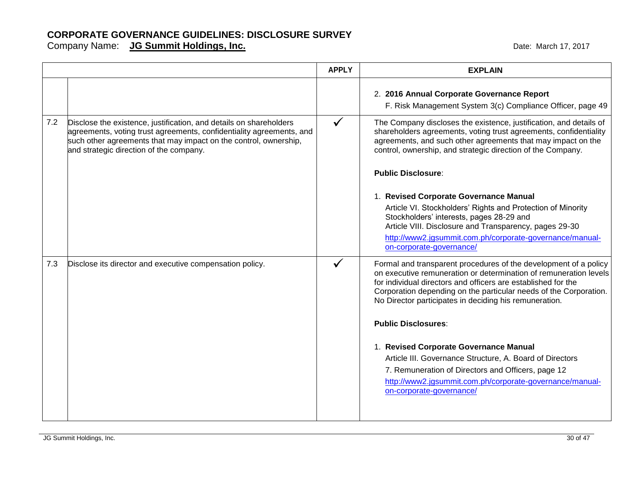|     |                                                                                                                                                                                                                                                           | <b>APPLY</b> | <b>EXPLAIN</b>                                                                                                                                                                                                                                                                                                                        |
|-----|-----------------------------------------------------------------------------------------------------------------------------------------------------------------------------------------------------------------------------------------------------------|--------------|---------------------------------------------------------------------------------------------------------------------------------------------------------------------------------------------------------------------------------------------------------------------------------------------------------------------------------------|
|     |                                                                                                                                                                                                                                                           |              | 2. 2016 Annual Corporate Governance Report<br>F. Risk Management System 3(c) Compliance Officer, page 49                                                                                                                                                                                                                              |
| 7.2 | Disclose the existence, justification, and details on shareholders<br>agreements, voting trust agreements, confidentiality agreements, and<br>such other agreements that may impact on the control, ownership,<br>and strategic direction of the company. | $\checkmark$ | The Company discloses the existence, justification, and details of<br>shareholders agreements, voting trust agreements, confidentiality<br>agreements, and such other agreements that may impact on the<br>control, ownership, and strategic direction of the Company.                                                                |
|     |                                                                                                                                                                                                                                                           |              | <b>Public Disclosure:</b>                                                                                                                                                                                                                                                                                                             |
|     |                                                                                                                                                                                                                                                           |              | 1. Revised Corporate Governance Manual                                                                                                                                                                                                                                                                                                |
|     |                                                                                                                                                                                                                                                           |              | Article VI. Stockholders' Rights and Protection of Minority<br>Stockholders' interests, pages 28-29 and<br>Article VIII. Disclosure and Transparency, pages 29-30                                                                                                                                                                     |
|     |                                                                                                                                                                                                                                                           |              | http://www2.jgsummit.com.ph/corporate-governance/manual-<br>on-corporate-governance/                                                                                                                                                                                                                                                  |
| 7.3 | Disclose its director and executive compensation policy.                                                                                                                                                                                                  |              | Formal and transparent procedures of the development of a policy<br>on executive remuneration or determination of remuneration levels<br>for individual directors and officers are established for the<br>Corporation depending on the particular needs of the Corporation.<br>No Director participates in deciding his remuneration. |
|     |                                                                                                                                                                                                                                                           |              | <b>Public Disclosures:</b>                                                                                                                                                                                                                                                                                                            |
|     |                                                                                                                                                                                                                                                           |              | 1. Revised Corporate Governance Manual                                                                                                                                                                                                                                                                                                |
|     |                                                                                                                                                                                                                                                           |              | Article III. Governance Structure, A. Board of Directors                                                                                                                                                                                                                                                                              |
|     |                                                                                                                                                                                                                                                           |              | 7. Remuneration of Directors and Officers, page 12                                                                                                                                                                                                                                                                                    |
|     |                                                                                                                                                                                                                                                           |              | http://www2.jgsummit.com.ph/corporate-governance/manual-<br>on-corporate-governance/                                                                                                                                                                                                                                                  |
|     |                                                                                                                                                                                                                                                           |              |                                                                                                                                                                                                                                                                                                                                       |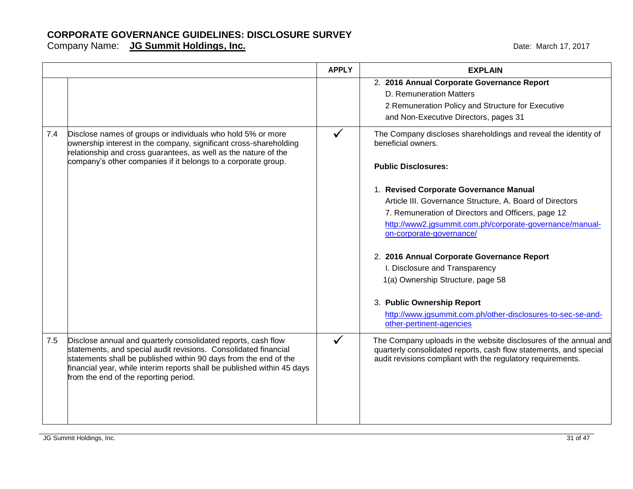|     |                                                                                                                                                                                                                                                                                                                          | <b>APPLY</b> | <b>EXPLAIN</b>                                                                                                                                                                                                                                                                                                                   |
|-----|--------------------------------------------------------------------------------------------------------------------------------------------------------------------------------------------------------------------------------------------------------------------------------------------------------------------------|--------------|----------------------------------------------------------------------------------------------------------------------------------------------------------------------------------------------------------------------------------------------------------------------------------------------------------------------------------|
|     |                                                                                                                                                                                                                                                                                                                          |              | 2. 2016 Annual Corporate Governance Report<br>D. Remuneration Matters<br>2 Remuneration Policy and Structure for Executive<br>and Non-Executive Directors, pages 31                                                                                                                                                              |
| 7.4 | Disclose names of groups or individuals who hold 5% or more<br>ownership interest in the company, significant cross-shareholding<br>relationship and cross guarantees, as well as the nature of the<br>company's other companies if it belongs to a corporate group.                                                     |              | The Company discloses shareholdings and reveal the identity of<br>beneficial owners.<br><b>Public Disclosures:</b>                                                                                                                                                                                                               |
|     |                                                                                                                                                                                                                                                                                                                          |              | 1. Revised Corporate Governance Manual<br>Article III. Governance Structure, A. Board of Directors<br>7. Remuneration of Directors and Officers, page 12<br>http://www2.jgsummit.com.ph/corporate-governance/manual-<br>on-corporate-governance/<br>2. 2016 Annual Corporate Governance Report<br>I. Disclosure and Transparency |
|     |                                                                                                                                                                                                                                                                                                                          |              | 1(a) Ownership Structure, page 58<br>3. Public Ownership Report<br>http://www.jgsummit.com.ph/other-disclosures-to-sec-se-and-<br>other-pertinent-agencies                                                                                                                                                                       |
| 7.5 | Disclose annual and quarterly consolidated reports, cash flow<br>statements, and special audit revisions. Consolidated financial<br>statements shall be published within 90 days from the end of the<br>financial year, while interim reports shall be published within 45 days<br>from the end of the reporting period. |              | The Company uploads in the website disclosures of the annual and<br>quarterly consolidated reports, cash flow statements, and special<br>audit revisions compliant with the regulatory requirements.                                                                                                                             |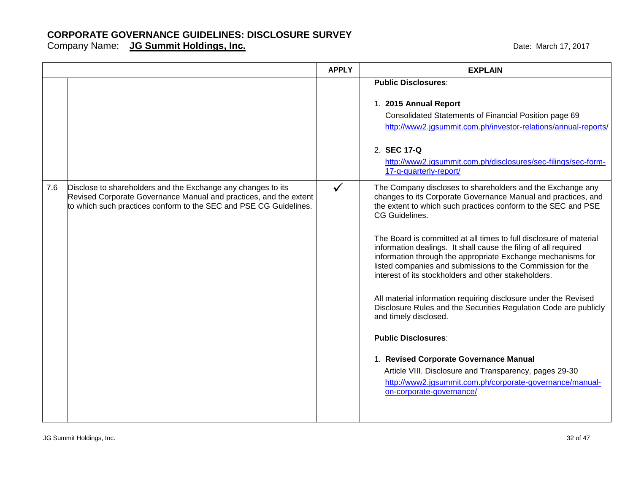|     |                                                                                                                                                                                                        | <b>APPLY</b> | <b>EXPLAIN</b>                                                                                                                                                                                                                                                                                                                                                                                                                                                                                                                                                                                                                                                                                                                                                                                                                                                                                                                         |
|-----|--------------------------------------------------------------------------------------------------------------------------------------------------------------------------------------------------------|--------------|----------------------------------------------------------------------------------------------------------------------------------------------------------------------------------------------------------------------------------------------------------------------------------------------------------------------------------------------------------------------------------------------------------------------------------------------------------------------------------------------------------------------------------------------------------------------------------------------------------------------------------------------------------------------------------------------------------------------------------------------------------------------------------------------------------------------------------------------------------------------------------------------------------------------------------------|
|     |                                                                                                                                                                                                        |              | <b>Public Disclosures:</b><br>1. 2015 Annual Report<br>Consolidated Statements of Financial Position page 69<br>http://www2.jgsummit.com.ph/investor-relations/annual-reports/<br>2. SEC 17-Q<br>http://www2.jgsummit.com.ph/disclosures/sec-filings/sec-form-<br>17-q-quarterly-report/                                                                                                                                                                                                                                                                                                                                                                                                                                                                                                                                                                                                                                               |
| 7.6 | Disclose to shareholders and the Exchange any changes to its<br>Revised Corporate Governance Manual and practices, and the extent<br>to which such practices conform to the SEC and PSE CG Guidelines. | $\checkmark$ | The Company discloses to shareholders and the Exchange any<br>changes to its Corporate Governance Manual and practices, and<br>the extent to which such practices conform to the SEC and PSE<br>CG Guidelines.<br>The Board is committed at all times to full disclosure of material<br>information dealings. It shall cause the filing of all required<br>information through the appropriate Exchange mechanisms for<br>listed companies and submissions to the Commission for the<br>interest of its stockholders and other stakeholders.<br>All material information requiring disclosure under the Revised<br>Disclosure Rules and the Securities Regulation Code are publicly<br>and timely disclosed.<br><b>Public Disclosures:</b><br>1. Revised Corporate Governance Manual<br>Article VIII. Disclosure and Transparency, pages 29-30<br>http://www2.jgsummit.com.ph/corporate-governance/manual-<br>on-corporate-governance/ |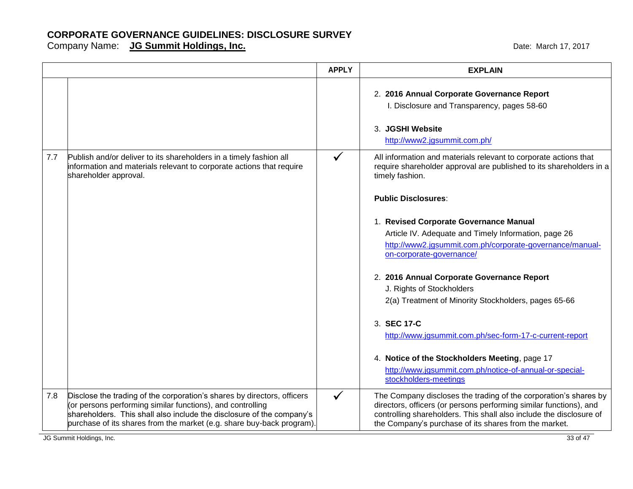|     |                                                                                                                                                                                                                                                                                         | <b>APPLY</b> | <b>EXPLAIN</b>                                                                                                                                                                                                                                                         |
|-----|-----------------------------------------------------------------------------------------------------------------------------------------------------------------------------------------------------------------------------------------------------------------------------------------|--------------|------------------------------------------------------------------------------------------------------------------------------------------------------------------------------------------------------------------------------------------------------------------------|
|     |                                                                                                                                                                                                                                                                                         |              | 2. 2016 Annual Corporate Governance Report<br>I. Disclosure and Transparency, pages 58-60                                                                                                                                                                              |
|     |                                                                                                                                                                                                                                                                                         |              | 3. JGSHI Website<br>http://www2.jgsummit.com.ph/                                                                                                                                                                                                                       |
| 7.7 | Publish and/or deliver to its shareholders in a timely fashion all<br>information and materials relevant to corporate actions that require<br>shareholder approval.                                                                                                                     | $\checkmark$ | All information and materials relevant to corporate actions that<br>require shareholder approval are published to its shareholders in a<br>timely fashion.                                                                                                             |
|     |                                                                                                                                                                                                                                                                                         |              | <b>Public Disclosures:</b>                                                                                                                                                                                                                                             |
|     |                                                                                                                                                                                                                                                                                         |              | 1. Revised Corporate Governance Manual<br>Article IV. Adequate and Timely Information, page 26<br>http://www2.jgsummit.com.ph/corporate-governance/manual-<br>on-corporate-governance/                                                                                 |
|     |                                                                                                                                                                                                                                                                                         |              | 2. 2016 Annual Corporate Governance Report<br>J. Rights of Stockholders<br>2(a) Treatment of Minority Stockholders, pages 65-66                                                                                                                                        |
|     |                                                                                                                                                                                                                                                                                         |              | 3. SEC 17-C<br>http://www.jgsummit.com.ph/sec-form-17-c-current-report                                                                                                                                                                                                 |
|     |                                                                                                                                                                                                                                                                                         |              | 4. Notice of the Stockholders Meeting, page 17<br>http://www.jgsummit.com.ph/notice-of-annual-or-special-<br>stockholders-meetings                                                                                                                                     |
| 7.8 | Disclose the trading of the corporation's shares by directors, officers<br>(or persons performing similar functions), and controlling<br>shareholders. This shall also include the disclosure of the company's<br>purchase of its shares from the market (e.g. share buy-back program). | $\checkmark$ | The Company discloses the trading of the corporation's shares by<br>directors, officers (or persons performing similar functions), and<br>controlling shareholders. This shall also include the disclosure of<br>the Company's purchase of its shares from the market. |
|     | JG Summit Holdings, Inc.                                                                                                                                                                                                                                                                |              | 33 of 47                                                                                                                                                                                                                                                               |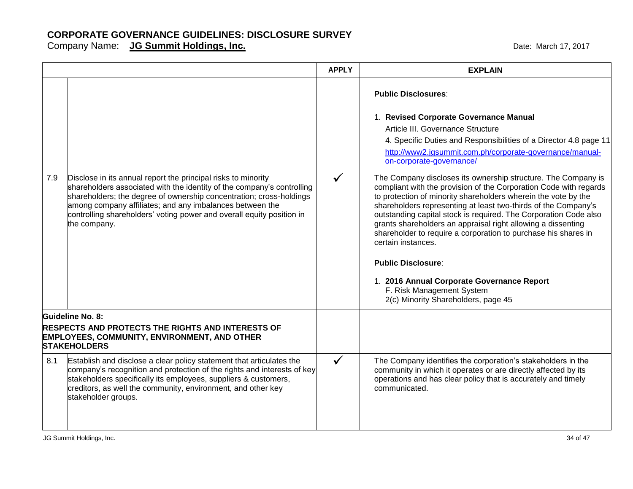|     |                                                                                                                                                                                                                                                                                                                                                                     | <b>APPLY</b> | <b>EXPLAIN</b>                                                                                                                                                                                                                                                                                                                                                                                                                                                                                                                                                                                                                                    |
|-----|---------------------------------------------------------------------------------------------------------------------------------------------------------------------------------------------------------------------------------------------------------------------------------------------------------------------------------------------------------------------|--------------|---------------------------------------------------------------------------------------------------------------------------------------------------------------------------------------------------------------------------------------------------------------------------------------------------------------------------------------------------------------------------------------------------------------------------------------------------------------------------------------------------------------------------------------------------------------------------------------------------------------------------------------------------|
|     |                                                                                                                                                                                                                                                                                                                                                                     |              | <b>Public Disclosures:</b><br>1. Revised Corporate Governance Manual<br>Article III. Governance Structure<br>4. Specific Duties and Responsibilities of a Director 4.8 page 11<br>http://www2.jgsummit.com.ph/corporate-governance/manual-<br>on-corporate-governance/                                                                                                                                                                                                                                                                                                                                                                            |
| 7.9 | Disclose in its annual report the principal risks to minority<br>shareholders associated with the identity of the company's controlling<br>shareholders; the degree of ownership concentration; cross-holdings<br>among company affiliates; and any imbalances between the<br>controlling shareholders' voting power and overall equity position in<br>the company. | $\checkmark$ | The Company discloses its ownership structure. The Company is<br>compliant with the provision of the Corporation Code with regards<br>to protection of minority shareholders wherein the vote by the<br>shareholders representing at least two-thirds of the Company's<br>outstanding capital stock is required. The Corporation Code also<br>grants shareholders an appraisal right allowing a dissenting<br>shareholder to require a corporation to purchase his shares in<br>certain instances.<br><b>Public Disclosure:</b><br>1. 2016 Annual Corporate Governance Report<br>F. Risk Management System<br>2(c) Minority Shareholders, page 45 |
|     | Guideline No. 8:                                                                                                                                                                                                                                                                                                                                                    |              |                                                                                                                                                                                                                                                                                                                                                                                                                                                                                                                                                                                                                                                   |
|     | <b>RESPECTS AND PROTECTS THE RIGHTS AND INTERESTS OF</b><br>EMPLOYEES, COMMUNITY, ENVIRONMENT, AND OTHER<br><b>STAKEHOLDERS</b>                                                                                                                                                                                                                                     |              |                                                                                                                                                                                                                                                                                                                                                                                                                                                                                                                                                                                                                                                   |
| 8.1 | Establish and disclose a clear policy statement that articulates the<br>company's recognition and protection of the rights and interests of key<br>stakeholders specifically its employees, suppliers & customers,<br>creditors, as well the community, environment, and other key<br>stakeholder groups.                                                           | $\checkmark$ | The Company identifies the corporation's stakeholders in the<br>community in which it operates or are directly affected by its<br>operations and has clear policy that is accurately and timely<br>communicated.                                                                                                                                                                                                                                                                                                                                                                                                                                  |
|     | JG Summit Holdings, Inc.                                                                                                                                                                                                                                                                                                                                            |              | 34 of 47                                                                                                                                                                                                                                                                                                                                                                                                                                                                                                                                                                                                                                          |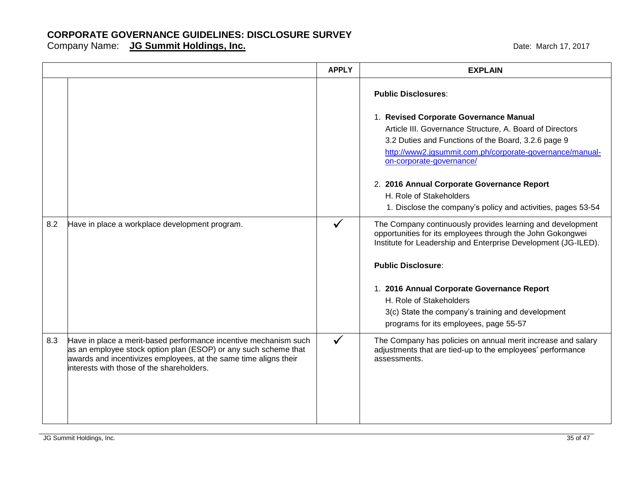|     |                                                                                                                                                                                                                                                      | <b>APPLY</b> | <b>EXPLAIN</b>                                                                                                                                                                                                                                                                                                                                                                                                           |
|-----|------------------------------------------------------------------------------------------------------------------------------------------------------------------------------------------------------------------------------------------------------|--------------|--------------------------------------------------------------------------------------------------------------------------------------------------------------------------------------------------------------------------------------------------------------------------------------------------------------------------------------------------------------------------------------------------------------------------|
|     |                                                                                                                                                                                                                                                      |              | <b>Public Disclosures:</b><br>1. Revised Corporate Governance Manual<br>Article III. Governance Structure, A. Board of Directors<br>3.2 Duties and Functions of the Board, 3.2.6 page 9<br>http://www2.jgsummit.com.ph/corporate-governance/manual-<br>on-corporate-governance/<br>2. 2016 Annual Corporate Governance Report<br>H. Role of Stakeholders<br>1. Disclose the company's policy and activities, pages 53-54 |
| 8.2 | Have in place a workplace development program.                                                                                                                                                                                                       |              | The Company continuously provides learning and development<br>opportunities for its employees through the John Gokongwei<br>Institute for Leadership and Enterprise Development (JG-ILED).<br><b>Public Disclosure:</b><br>1. 2016 Annual Corporate Governance Report<br>H. Role of Stakeholders<br>3(c) State the company's training and development<br>programs for its employees, page 55-57                          |
| 8.3 | Have in place a merit-based performance incentive mechanism such<br>as an employee stock option plan (ESOP) or any such scheme that<br>awards and incentivizes employees, at the same time aligns their<br>interests with those of the shareholders. | $\checkmark$ | The Company has policies on annual merit increase and salary<br>adjustments that are tied-up to the employees' performance<br>assessments.                                                                                                                                                                                                                                                                               |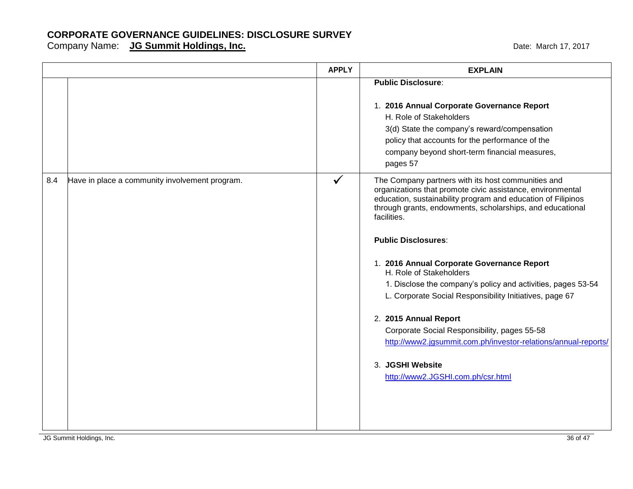|     |                                                | <b>APPLY</b> | <b>EXPLAIN</b>                                                                                                                                                                                                                                                                                                                                                                                                                                                                                                                                                                                                                                                                                     |
|-----|------------------------------------------------|--------------|----------------------------------------------------------------------------------------------------------------------------------------------------------------------------------------------------------------------------------------------------------------------------------------------------------------------------------------------------------------------------------------------------------------------------------------------------------------------------------------------------------------------------------------------------------------------------------------------------------------------------------------------------------------------------------------------------|
|     |                                                |              | <b>Public Disclosure:</b><br>1. 2016 Annual Corporate Governance Report<br>H. Role of Stakeholders<br>3(d) State the company's reward/compensation<br>policy that accounts for the performance of the<br>company beyond short-term financial measures,<br>pages 57                                                                                                                                                                                                                                                                                                                                                                                                                                 |
| 8.4 | Have in place a community involvement program. | ✓            | The Company partners with its host communities and<br>organizations that promote civic assistance, environmental<br>education, sustainability program and education of Filipinos<br>through grants, endowments, scholarships, and educational<br>facilities.<br><b>Public Disclosures:</b><br>1. 2016 Annual Corporate Governance Report<br>H. Role of Stakeholders<br>1. Disclose the company's policy and activities, pages 53-54<br>L. Corporate Social Responsibility Initiatives, page 67<br>2. 2015 Annual Report<br>Corporate Social Responsibility, pages 55-58<br>http://www2.jgsummit.com.ph/investor-relations/annual-reports/<br>3. JGSHI Website<br>http://www2.JGSHI.com.ph/csr.html |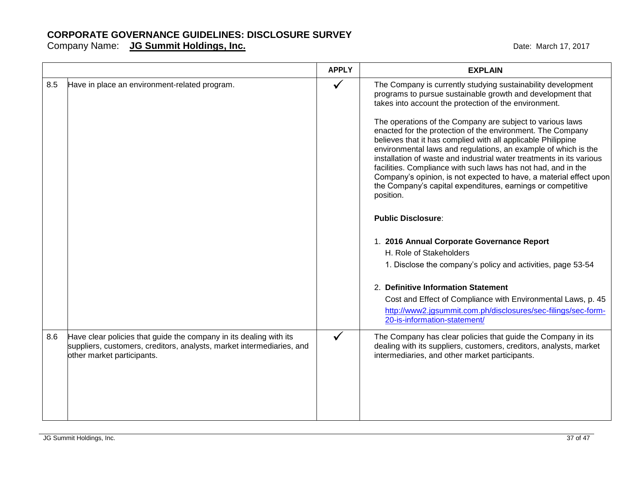|     |                                                                                                                                                                           | <b>APPLY</b> | <b>EXPLAIN</b>                                                                                                                                                                                                                                                                                                                                                                                                                                                                                                                                                                                                                                                                                                                                                                                                                                                                                                                                                                                                                                                                                                           |
|-----|---------------------------------------------------------------------------------------------------------------------------------------------------------------------------|--------------|--------------------------------------------------------------------------------------------------------------------------------------------------------------------------------------------------------------------------------------------------------------------------------------------------------------------------------------------------------------------------------------------------------------------------------------------------------------------------------------------------------------------------------------------------------------------------------------------------------------------------------------------------------------------------------------------------------------------------------------------------------------------------------------------------------------------------------------------------------------------------------------------------------------------------------------------------------------------------------------------------------------------------------------------------------------------------------------------------------------------------|
| 8.5 | Have in place an environment-related program.                                                                                                                             |              | The Company is currently studying sustainability development<br>programs to pursue sustainable growth and development that<br>takes into account the protection of the environment.<br>The operations of the Company are subject to various laws<br>enacted for the protection of the environment. The Company<br>believes that it has complied with all applicable Philippine<br>environmental laws and regulations, an example of which is the<br>installation of waste and industrial water treatments in its various<br>facilities. Compliance with such laws has not had, and in the<br>Company's opinion, is not expected to have, a material effect upon<br>the Company's capital expenditures, earnings or competitive<br>position.<br><b>Public Disclosure:</b><br>1. 2016 Annual Corporate Governance Report<br>H. Role of Stakeholders<br>1. Disclose the company's policy and activities, page 53-54<br>2. Definitive Information Statement<br>Cost and Effect of Compliance with Environmental Laws, p. 45<br>http://www2.jgsummit.com.ph/disclosures/sec-filings/sec-form-<br>20-is-information-statement/ |
| 8.6 | Have clear policies that guide the company in its dealing with its<br>suppliers, customers, creditors, analysts, market intermediaries, and<br>other market participants. |              | The Company has clear policies that guide the Company in its<br>dealing with its suppliers, customers, creditors, analysts, market<br>intermediaries, and other market participants.                                                                                                                                                                                                                                                                                                                                                                                                                                                                                                                                                                                                                                                                                                                                                                                                                                                                                                                                     |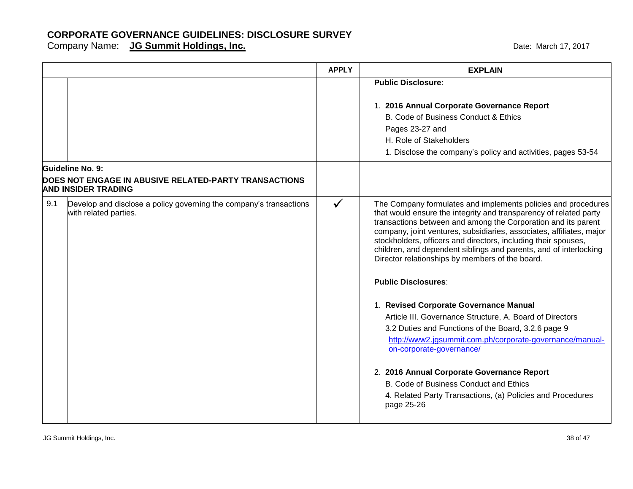|     |                                                                                                         | <b>APPLY</b> | <b>EXPLAIN</b>                                                                                                                                                                                                                                                                                                                                                                                                                                                                                      |
|-----|---------------------------------------------------------------------------------------------------------|--------------|-----------------------------------------------------------------------------------------------------------------------------------------------------------------------------------------------------------------------------------------------------------------------------------------------------------------------------------------------------------------------------------------------------------------------------------------------------------------------------------------------------|
|     |                                                                                                         |              | <b>Public Disclosure:</b>                                                                                                                                                                                                                                                                                                                                                                                                                                                                           |
|     |                                                                                                         |              | 1. 2016 Annual Corporate Governance Report<br>B. Code of Business Conduct & Ethics<br>Pages 23-27 and<br>H. Role of Stakeholders<br>1. Disclose the company's policy and activities, pages 53-54                                                                                                                                                                                                                                                                                                    |
|     | Guideline No. 9:<br>DOES NOT ENGAGE IN ABUSIVE RELATED-PARTY TRANSACTIONS<br><b>AND INSIDER TRADING</b> |              |                                                                                                                                                                                                                                                                                                                                                                                                                                                                                                     |
| 9.1 | Develop and disclose a policy governing the company's transactions<br>with related parties.             | ✓            | The Company formulates and implements policies and procedures<br>that would ensure the integrity and transparency of related party<br>transactions between and among the Corporation and its parent<br>company, joint ventures, subsidiaries, associates, affiliates, major<br>stockholders, officers and directors, including their spouses,<br>children, and dependent siblings and parents, and of interlocking<br>Director relationships by members of the board.<br><b>Public Disclosures:</b> |
|     |                                                                                                         |              | 1. Revised Corporate Governance Manual<br>Article III. Governance Structure, A. Board of Directors<br>3.2 Duties and Functions of the Board, 3.2.6 page 9<br>http://www2.jgsummit.com.ph/corporate-governance/manual-<br>on-corporate-governance/<br>2. 2016 Annual Corporate Governance Report<br>B. Code of Business Conduct and Ethics<br>4. Related Party Transactions, (a) Policies and Procedures<br>page 25-26                                                                               |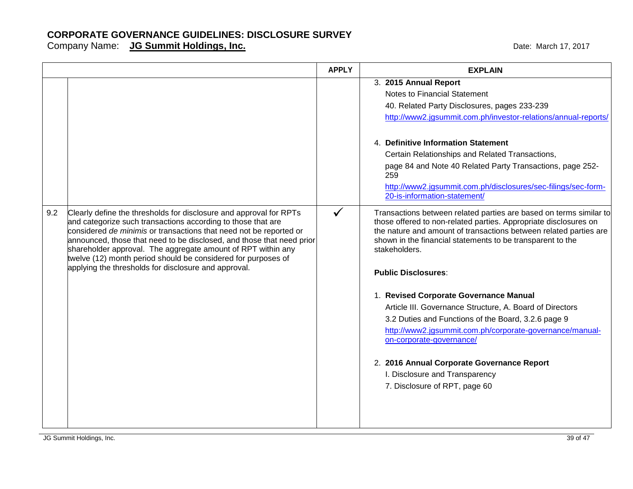|     |                                                                                                                                                                                                                                                                                                                                                                                                                                                                            | <b>APPLY</b> | <b>EXPLAIN</b>                                                                                                                                                                                                                                                                                                                                                     |
|-----|----------------------------------------------------------------------------------------------------------------------------------------------------------------------------------------------------------------------------------------------------------------------------------------------------------------------------------------------------------------------------------------------------------------------------------------------------------------------------|--------------|--------------------------------------------------------------------------------------------------------------------------------------------------------------------------------------------------------------------------------------------------------------------------------------------------------------------------------------------------------------------|
|     |                                                                                                                                                                                                                                                                                                                                                                                                                                                                            |              | 3. 2015 Annual Report<br>Notes to Financial Statement<br>40. Related Party Disclosures, pages 233-239<br>http://www2.jgsummit.com.ph/investor-relations/annual-reports/                                                                                                                                                                                            |
|     |                                                                                                                                                                                                                                                                                                                                                                                                                                                                            |              | 4. Definitive Information Statement<br>Certain Relationships and Related Transactions,<br>page 84 and Note 40 Related Party Transactions, page 252-<br>259<br>http://www2.jgsummit.com.ph/disclosures/sec-filings/sec-form-<br>20-is-information-statement/                                                                                                        |
| 9.2 | Clearly define the thresholds for disclosure and approval for RPTs<br>and categorize such transactions according to those that are<br>considered de minimis or transactions that need not be reported or<br>announced, those that need to be disclosed, and those that need prior<br>shareholder approval. The aggregate amount of RPT within any<br>twelve (12) month period should be considered for purposes of<br>applying the thresholds for disclosure and approval. | $\checkmark$ | Transactions between related parties are based on terms similar to<br>those offered to non-related parties. Appropriate disclosures on<br>the nature and amount of transactions between related parties are<br>shown in the financial statements to be transparent to the<br>stakeholders.<br><b>Public Disclosures:</b>                                           |
|     |                                                                                                                                                                                                                                                                                                                                                                                                                                                                            |              | 1. Revised Corporate Governance Manual<br>Article III. Governance Structure, A. Board of Directors<br>3.2 Duties and Functions of the Board, 3.2.6 page 9<br>http://www2.jgsummit.com.ph/corporate-governance/manual-<br>on-corporate-governance/<br>2. 2016 Annual Corporate Governance Report<br>I. Disclosure and Transparency<br>7. Disclosure of RPT, page 60 |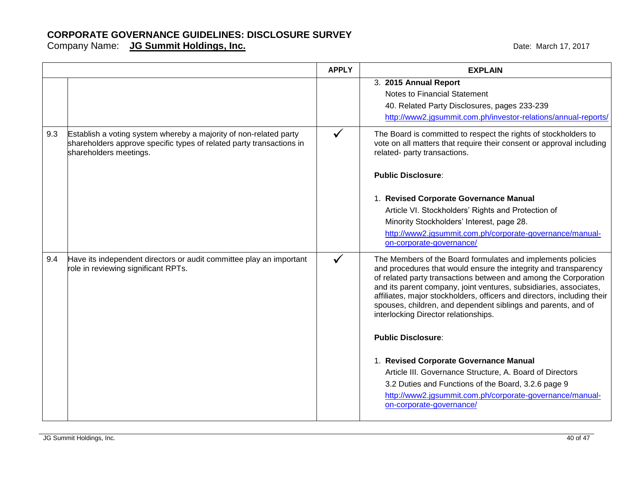|                                                                                                                                                                     | 3. 2015 Annual Report<br>Notes to Financial Statement<br>40. Related Party Disclosures, pages 233-239<br>http://www2.jgsummit.com.ph/investor-relations/annual-reports/                                                                                                                                                                                                                                                                                                                                                                                                                                                                                                                                          |
|---------------------------------------------------------------------------------------------------------------------------------------------------------------------|------------------------------------------------------------------------------------------------------------------------------------------------------------------------------------------------------------------------------------------------------------------------------------------------------------------------------------------------------------------------------------------------------------------------------------------------------------------------------------------------------------------------------------------------------------------------------------------------------------------------------------------------------------------------------------------------------------------|
| Establish a voting system whereby a majority of non-related party<br>shareholders approve specific types of related party transactions in<br>shareholders meetings. | The Board is committed to respect the rights of stockholders to<br>vote on all matters that require their consent or approval including<br>related- party transactions.<br><b>Public Disclosure:</b>                                                                                                                                                                                                                                                                                                                                                                                                                                                                                                             |
|                                                                                                                                                                     | 1. Revised Corporate Governance Manual<br>Article VI. Stockholders' Rights and Protection of<br>Minority Stockholders' Interest, page 28.<br>http://www2.jgsummit.com.ph/corporate-governance/manual-<br>on-corporate-governance/                                                                                                                                                                                                                                                                                                                                                                                                                                                                                |
| Have its independent directors or audit committee play an important<br>role in reviewing significant RPTs.                                                          | The Members of the Board formulates and implements policies<br>and procedures that would ensure the integrity and transparency<br>of related party transactions between and among the Corporation<br>and its parent company, joint ventures, subsidiaries, associates,<br>affiliates, major stockholders, officers and directors, including their<br>spouses, children, and dependent siblings and parents, and of<br>interlocking Director relationships.<br><b>Public Disclosure:</b><br>1. Revised Corporate Governance Manual<br>Article III. Governance Structure, A. Board of Directors<br>3.2 Duties and Functions of the Board, 3.2.6 page 9<br>http://www2.jgsummit.com.ph/corporate-governance/manual- |
|                                                                                                                                                                     |                                                                                                                                                                                                                                                                                                                                                                                                                                                                                                                                                                                                                                                                                                                  |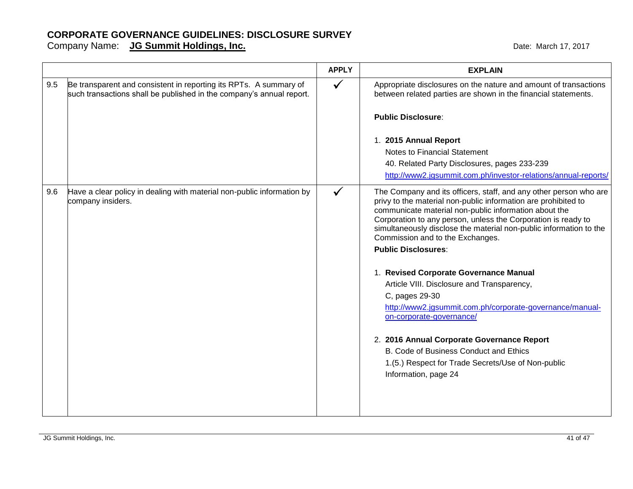|     |                                                                                                                                           | <b>APPLY</b> | <b>EXPLAIN</b>                                                                                                                                                                                                                                                                                                                                                                                                                                  |
|-----|-------------------------------------------------------------------------------------------------------------------------------------------|--------------|-------------------------------------------------------------------------------------------------------------------------------------------------------------------------------------------------------------------------------------------------------------------------------------------------------------------------------------------------------------------------------------------------------------------------------------------------|
| 9.5 | Be transparent and consistent in reporting its RPTs. A summary of<br>such transactions shall be published in the company's annual report. | $\checkmark$ | Appropriate disclosures on the nature and amount of transactions<br>between related parties are shown in the financial statements.                                                                                                                                                                                                                                                                                                              |
|     |                                                                                                                                           |              | <b>Public Disclosure:</b>                                                                                                                                                                                                                                                                                                                                                                                                                       |
|     |                                                                                                                                           |              | 1. 2015 Annual Report                                                                                                                                                                                                                                                                                                                                                                                                                           |
|     |                                                                                                                                           |              | Notes to Financial Statement                                                                                                                                                                                                                                                                                                                                                                                                                    |
|     |                                                                                                                                           |              | 40. Related Party Disclosures, pages 233-239                                                                                                                                                                                                                                                                                                                                                                                                    |
|     |                                                                                                                                           |              | http://www2.jgsummit.com.ph/investor-relations/annual-reports/                                                                                                                                                                                                                                                                                                                                                                                  |
| 9.6 | Have a clear policy in dealing with material non-public information by<br>company insiders.                                               |              | The Company and its officers, staff, and any other person who are<br>privy to the material non-public information are prohibited to<br>communicate material non-public information about the<br>Corporation to any person, unless the Corporation is ready to<br>simultaneously disclose the material non-public information to the<br>Commission and to the Exchanges.<br><b>Public Disclosures:</b><br>1. Revised Corporate Governance Manual |
|     |                                                                                                                                           |              | Article VIII. Disclosure and Transparency,                                                                                                                                                                                                                                                                                                                                                                                                      |
|     |                                                                                                                                           |              | C, pages 29-30<br>http://www2.jgsummit.com.ph/corporate-governance/manual-                                                                                                                                                                                                                                                                                                                                                                      |
|     |                                                                                                                                           |              | on-corporate-governance/                                                                                                                                                                                                                                                                                                                                                                                                                        |
|     |                                                                                                                                           |              | 2. 2016 Annual Corporate Governance Report                                                                                                                                                                                                                                                                                                                                                                                                      |
|     |                                                                                                                                           |              | B. Code of Business Conduct and Ethics                                                                                                                                                                                                                                                                                                                                                                                                          |
|     |                                                                                                                                           |              | 1.(5.) Respect for Trade Secrets/Use of Non-public                                                                                                                                                                                                                                                                                                                                                                                              |
|     |                                                                                                                                           |              | Information, page 24                                                                                                                                                                                                                                                                                                                                                                                                                            |
|     |                                                                                                                                           |              |                                                                                                                                                                                                                                                                                                                                                                                                                                                 |
|     |                                                                                                                                           |              |                                                                                                                                                                                                                                                                                                                                                                                                                                                 |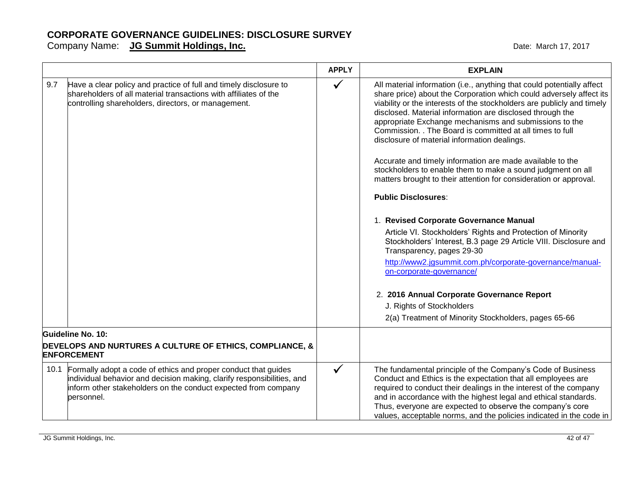|                                                                                                                                                                                                                               | <b>APPLY</b> | <b>EXPLAIN</b>                                                                                                                                                                                                                                                                                                                                                                                                                                                                                                                                                                                                                                                                                                                                                                                                                                                                                                                                                                                                                             |
|-------------------------------------------------------------------------------------------------------------------------------------------------------------------------------------------------------------------------------|--------------|--------------------------------------------------------------------------------------------------------------------------------------------------------------------------------------------------------------------------------------------------------------------------------------------------------------------------------------------------------------------------------------------------------------------------------------------------------------------------------------------------------------------------------------------------------------------------------------------------------------------------------------------------------------------------------------------------------------------------------------------------------------------------------------------------------------------------------------------------------------------------------------------------------------------------------------------------------------------------------------------------------------------------------------------|
| 9.7<br>Have a clear policy and practice of full and timely disclosure to<br>shareholders of all material transactions with affiliates of the<br>controlling shareholders, directors, or management.                           | $\checkmark$ | All material information (i.e., anything that could potentially affect<br>share price) about the Corporation which could adversely affect its<br>viability or the interests of the stockholders are publicly and timely<br>disclosed. Material information are disclosed through the<br>appropriate Exchange mechanisms and submissions to the<br>Commission. . The Board is committed at all times to full<br>disclosure of material information dealings.<br>Accurate and timely information are made available to the<br>stockholders to enable them to make a sound judgment on all<br>matters brought to their attention for consideration or approval.<br><b>Public Disclosures:</b><br>1. Revised Corporate Governance Manual<br>Article VI. Stockholders' Rights and Protection of Minority<br>Stockholders' Interest, B.3 page 29 Article VIII. Disclosure and<br>Transparency, pages 29-30<br>http://www2.jgsummit.com.ph/corporate-governance/manual-<br>on-corporate-governance/<br>2. 2016 Annual Corporate Governance Report |
|                                                                                                                                                                                                                               |              | J. Rights of Stockholders                                                                                                                                                                                                                                                                                                                                                                                                                                                                                                                                                                                                                                                                                                                                                                                                                                                                                                                                                                                                                  |
|                                                                                                                                                                                                                               |              | 2(a) Treatment of Minority Stockholders, pages 65-66                                                                                                                                                                                                                                                                                                                                                                                                                                                                                                                                                                                                                                                                                                                                                                                                                                                                                                                                                                                       |
| Guideline No. 10:                                                                                                                                                                                                             |              |                                                                                                                                                                                                                                                                                                                                                                                                                                                                                                                                                                                                                                                                                                                                                                                                                                                                                                                                                                                                                                            |
| DEVELOPS AND NURTURES A CULTURE OF ETHICS, COMPLIANCE, &<br><b>ENFORCEMENT</b>                                                                                                                                                |              |                                                                                                                                                                                                                                                                                                                                                                                                                                                                                                                                                                                                                                                                                                                                                                                                                                                                                                                                                                                                                                            |
| 10.1 Formally adopt a code of ethics and proper conduct that guides<br>individual behavior and decision making, clarify responsibilities, and<br>inform other stakeholders on the conduct expected from company<br>personnel. | $\checkmark$ | The fundamental principle of the Company's Code of Business<br>Conduct and Ethics is the expectation that all employees are<br>required to conduct their dealings in the interest of the company<br>and in accordance with the highest legal and ethical standards.<br>Thus, everyone are expected to observe the company's core<br>values, acceptable norms, and the policies indicated in the code in                                                                                                                                                                                                                                                                                                                                                                                                                                                                                                                                                                                                                                    |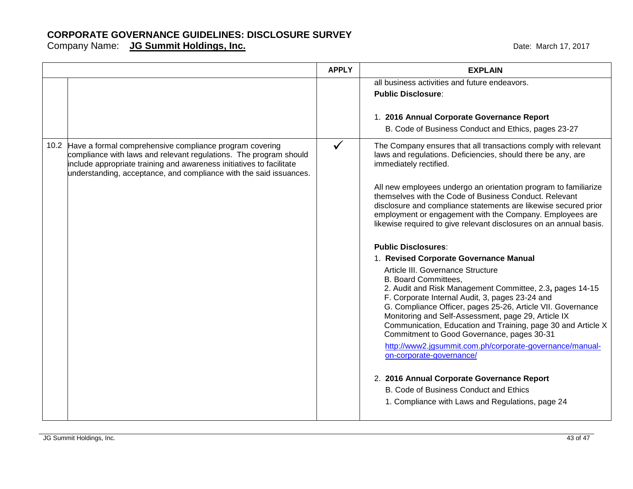|                                                                                                                                                                                                                                                                                 | <b>APPLY</b> | <b>EXPLAIN</b>                                                                                                                                                                                                                                                                                                                 |
|---------------------------------------------------------------------------------------------------------------------------------------------------------------------------------------------------------------------------------------------------------------------------------|--------------|--------------------------------------------------------------------------------------------------------------------------------------------------------------------------------------------------------------------------------------------------------------------------------------------------------------------------------|
|                                                                                                                                                                                                                                                                                 |              | all business activities and future endeavors.                                                                                                                                                                                                                                                                                  |
|                                                                                                                                                                                                                                                                                 |              | <b>Public Disclosure:</b>                                                                                                                                                                                                                                                                                                      |
|                                                                                                                                                                                                                                                                                 |              | 1. 2016 Annual Corporate Governance Report<br>B. Code of Business Conduct and Ethics, pages 23-27                                                                                                                                                                                                                              |
| 10.2 Have a formal comprehensive compliance program covering<br>compliance with laws and relevant regulations. The program should<br>include appropriate training and awareness initiatives to facilitate<br>understanding, acceptance, and compliance with the said issuances. | $\checkmark$ | The Company ensures that all transactions comply with relevant<br>laws and regulations. Deficiencies, should there be any, are<br>immediately rectified.                                                                                                                                                                       |
|                                                                                                                                                                                                                                                                                 |              | All new employees undergo an orientation program to familiarize<br>themselves with the Code of Business Conduct. Relevant<br>disclosure and compliance statements are likewise secured prior<br>employment or engagement with the Company. Employees are<br>likewise required to give relevant disclosures on an annual basis. |
|                                                                                                                                                                                                                                                                                 |              | <b>Public Disclosures:</b>                                                                                                                                                                                                                                                                                                     |
|                                                                                                                                                                                                                                                                                 |              | 1. Revised Corporate Governance Manual                                                                                                                                                                                                                                                                                         |
|                                                                                                                                                                                                                                                                                 |              | Article III. Governance Structure                                                                                                                                                                                                                                                                                              |
|                                                                                                                                                                                                                                                                                 |              | <b>B. Board Committees,</b>                                                                                                                                                                                                                                                                                                    |
|                                                                                                                                                                                                                                                                                 |              | 2. Audit and Risk Management Committee, 2.3, pages 14-15<br>F. Corporate Internal Audit, 3, pages 23-24 and                                                                                                                                                                                                                    |
|                                                                                                                                                                                                                                                                                 |              | G. Compliance Officer, pages 25-26, Article VII. Governance                                                                                                                                                                                                                                                                    |
|                                                                                                                                                                                                                                                                                 |              | Monitoring and Self-Assessment, page 29, Article IX                                                                                                                                                                                                                                                                            |
|                                                                                                                                                                                                                                                                                 |              | Communication, Education and Training, page 30 and Article X<br>Commitment to Good Governance, pages 30-31                                                                                                                                                                                                                     |
|                                                                                                                                                                                                                                                                                 |              | http://www2.jgsummit.com.ph/corporate-governance/manual-<br>on-corporate-governance/                                                                                                                                                                                                                                           |
|                                                                                                                                                                                                                                                                                 |              | 2. 2016 Annual Corporate Governance Report                                                                                                                                                                                                                                                                                     |
|                                                                                                                                                                                                                                                                                 |              | B. Code of Business Conduct and Ethics                                                                                                                                                                                                                                                                                         |
|                                                                                                                                                                                                                                                                                 |              | 1. Compliance with Laws and Regulations, page 24                                                                                                                                                                                                                                                                               |
|                                                                                                                                                                                                                                                                                 |              |                                                                                                                                                                                                                                                                                                                                |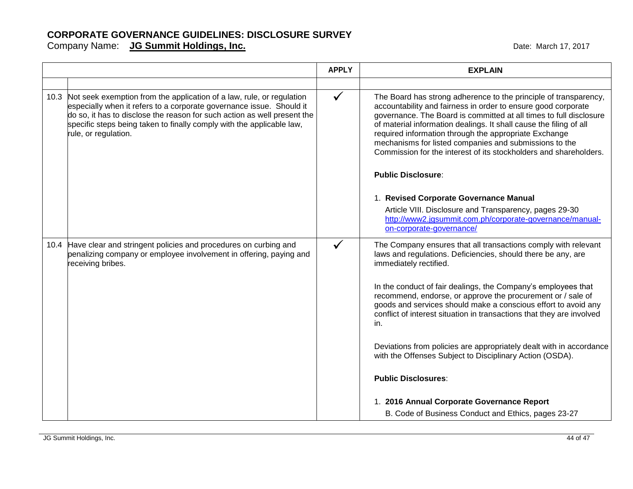|                                                                                                                                                                                                                                                                                                                                 | <b>APPLY</b> | <b>EXPLAIN</b>                                                                                                                                                                                                                                                                                                                                                                                                                                                        |
|---------------------------------------------------------------------------------------------------------------------------------------------------------------------------------------------------------------------------------------------------------------------------------------------------------------------------------|--------------|-----------------------------------------------------------------------------------------------------------------------------------------------------------------------------------------------------------------------------------------------------------------------------------------------------------------------------------------------------------------------------------------------------------------------------------------------------------------------|
|                                                                                                                                                                                                                                                                                                                                 |              |                                                                                                                                                                                                                                                                                                                                                                                                                                                                       |
| 10.3 Not seek exemption from the application of a law, rule, or regulation<br>especially when it refers to a corporate governance issue. Should it<br>do so, it has to disclose the reason for such action as well present the<br>specific steps being taken to finally comply with the applicable law,<br>rule, or regulation. | $\checkmark$ | The Board has strong adherence to the principle of transparency,<br>accountability and fairness in order to ensure good corporate<br>governance. The Board is committed at all times to full disclosure<br>of material information dealings. It shall cause the filing of all<br>required information through the appropriate Exchange<br>mechanisms for listed companies and submissions to the<br>Commission for the interest of its stockholders and shareholders. |
|                                                                                                                                                                                                                                                                                                                                 |              | <b>Public Disclosure:</b>                                                                                                                                                                                                                                                                                                                                                                                                                                             |
|                                                                                                                                                                                                                                                                                                                                 |              | 1. Revised Corporate Governance Manual                                                                                                                                                                                                                                                                                                                                                                                                                                |
|                                                                                                                                                                                                                                                                                                                                 |              | Article VIII. Disclosure and Transparency, pages 29-30<br>http://www2.jgsummit.com.ph/corporate-governance/manual-<br>on-corporate-governance/                                                                                                                                                                                                                                                                                                                        |
| 10.4 Have clear and stringent policies and procedures on curbing and<br>penalizing company or employee involvement in offering, paying and<br>receiving bribes.                                                                                                                                                                 | $\checkmark$ | The Company ensures that all transactions comply with relevant<br>laws and regulations. Deficiencies, should there be any, are<br>immediately rectified.                                                                                                                                                                                                                                                                                                              |
|                                                                                                                                                                                                                                                                                                                                 |              | In the conduct of fair dealings, the Company's employees that<br>recommend, endorse, or approve the procurement or / sale of<br>goods and services should make a conscious effort to avoid any<br>conflict of interest situation in transactions that they are involved<br>in.                                                                                                                                                                                        |
|                                                                                                                                                                                                                                                                                                                                 |              | Deviations from policies are appropriately dealt with in accordance<br>with the Offenses Subject to Disciplinary Action (OSDA).                                                                                                                                                                                                                                                                                                                                       |
|                                                                                                                                                                                                                                                                                                                                 |              | <b>Public Disclosures:</b>                                                                                                                                                                                                                                                                                                                                                                                                                                            |
|                                                                                                                                                                                                                                                                                                                                 |              | 1. 2016 Annual Corporate Governance Report<br>B. Code of Business Conduct and Ethics, pages 23-27                                                                                                                                                                                                                                                                                                                                                                     |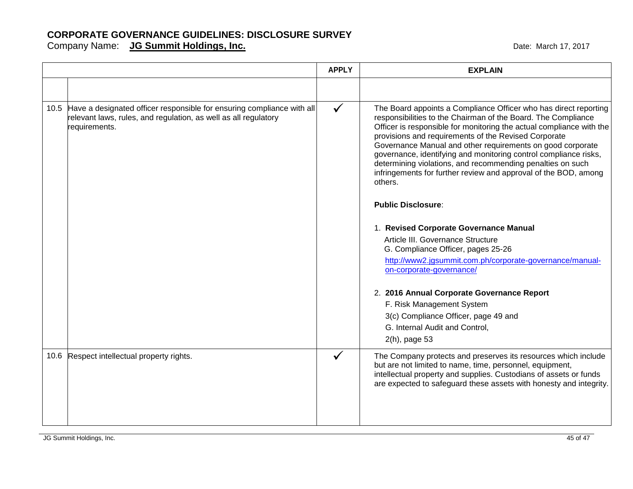|      |                                                                                                                                                                 | <b>APPLY</b> | <b>EXPLAIN</b>                                                                                                                                                                                                                                                                                                                                                                                                                                                                                                                                  |
|------|-----------------------------------------------------------------------------------------------------------------------------------------------------------------|--------------|-------------------------------------------------------------------------------------------------------------------------------------------------------------------------------------------------------------------------------------------------------------------------------------------------------------------------------------------------------------------------------------------------------------------------------------------------------------------------------------------------------------------------------------------------|
|      |                                                                                                                                                                 |              |                                                                                                                                                                                                                                                                                                                                                                                                                                                                                                                                                 |
|      | 10.5 Have a designated officer responsible for ensuring compliance with all<br>relevant laws, rules, and regulation, as well as all regulatory<br>requirements. |              | The Board appoints a Compliance Officer who has direct reporting<br>responsibilities to the Chairman of the Board. The Compliance<br>Officer is responsible for monitoring the actual compliance with the<br>provisions and requirements of the Revised Corporate<br>Governance Manual and other requirements on good corporate<br>governance, identifying and monitoring control compliance risks,<br>determining violations, and recommending penalties on such<br>infringements for further review and approval of the BOD, among<br>others. |
|      |                                                                                                                                                                 |              | <b>Public Disclosure:</b>                                                                                                                                                                                                                                                                                                                                                                                                                                                                                                                       |
|      |                                                                                                                                                                 |              | 1. Revised Corporate Governance Manual                                                                                                                                                                                                                                                                                                                                                                                                                                                                                                          |
|      |                                                                                                                                                                 |              | Article III. Governance Structure                                                                                                                                                                                                                                                                                                                                                                                                                                                                                                               |
|      |                                                                                                                                                                 |              | G. Compliance Officer, pages 25-26<br>http://www2.jgsummit.com.ph/corporate-governance/manual-<br>on-corporate-governance/                                                                                                                                                                                                                                                                                                                                                                                                                      |
|      |                                                                                                                                                                 |              | 2. 2016 Annual Corporate Governance Report                                                                                                                                                                                                                                                                                                                                                                                                                                                                                                      |
|      |                                                                                                                                                                 |              | F. Risk Management System                                                                                                                                                                                                                                                                                                                                                                                                                                                                                                                       |
|      |                                                                                                                                                                 |              | 3(c) Compliance Officer, page 49 and                                                                                                                                                                                                                                                                                                                                                                                                                                                                                                            |
|      |                                                                                                                                                                 |              | G. Internal Audit and Control,<br>2(h), page 53                                                                                                                                                                                                                                                                                                                                                                                                                                                                                                 |
| 10.6 | Respect intellectual property rights.                                                                                                                           |              | The Company protects and preserves its resources which include<br>but are not limited to name, time, personnel, equipment,<br>intellectual property and supplies. Custodians of assets or funds<br>are expected to safeguard these assets with honesty and integrity.                                                                                                                                                                                                                                                                           |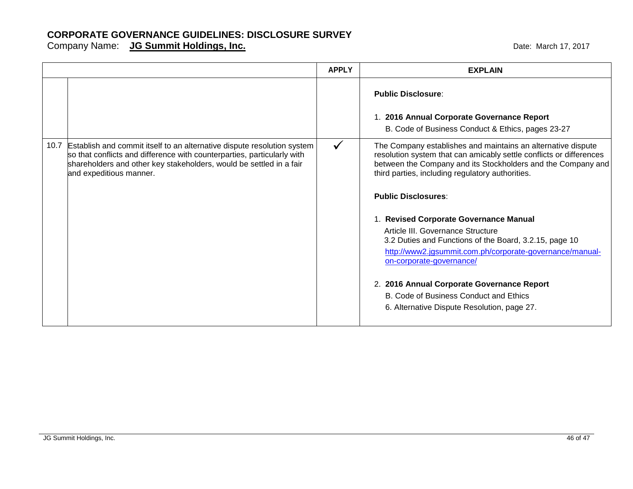|                                                                                                                                                                                                                                                           | <b>APPLY</b> | <b>EXPLAIN</b>                                                                                                                                                                                                                                          |
|-----------------------------------------------------------------------------------------------------------------------------------------------------------------------------------------------------------------------------------------------------------|--------------|---------------------------------------------------------------------------------------------------------------------------------------------------------------------------------------------------------------------------------------------------------|
|                                                                                                                                                                                                                                                           |              | <b>Public Disclosure:</b>                                                                                                                                                                                                                               |
|                                                                                                                                                                                                                                                           |              | 1. 2016 Annual Corporate Governance Report<br>B. Code of Business Conduct & Ethics, pages 23-27                                                                                                                                                         |
| 10.7 Establish and commit itself to an alternative dispute resolution system<br>so that conflicts and difference with counterparties, particularly with<br>shareholders and other key stakeholders, would be settled in a fair<br>and expeditious manner. | $\checkmark$ | The Company establishes and maintains an alternative dispute<br>resolution system that can amicably settle conflicts or differences<br>between the Company and its Stockholders and the Company and<br>third parties, including regulatory authorities. |
|                                                                                                                                                                                                                                                           |              | <b>Public Disclosures:</b>                                                                                                                                                                                                                              |
|                                                                                                                                                                                                                                                           |              | 1. Revised Corporate Governance Manual<br>Article III. Governance Structure<br>3.2 Duties and Functions of the Board, 3.2.15, page 10<br>http://www2.jgsummit.com.ph/corporate-governance/manual-<br>on-corporate-governance/                           |
|                                                                                                                                                                                                                                                           |              | 2. 2016 Annual Corporate Governance Report<br>B. Code of Business Conduct and Ethics<br>6. Alternative Dispute Resolution, page 27.                                                                                                                     |